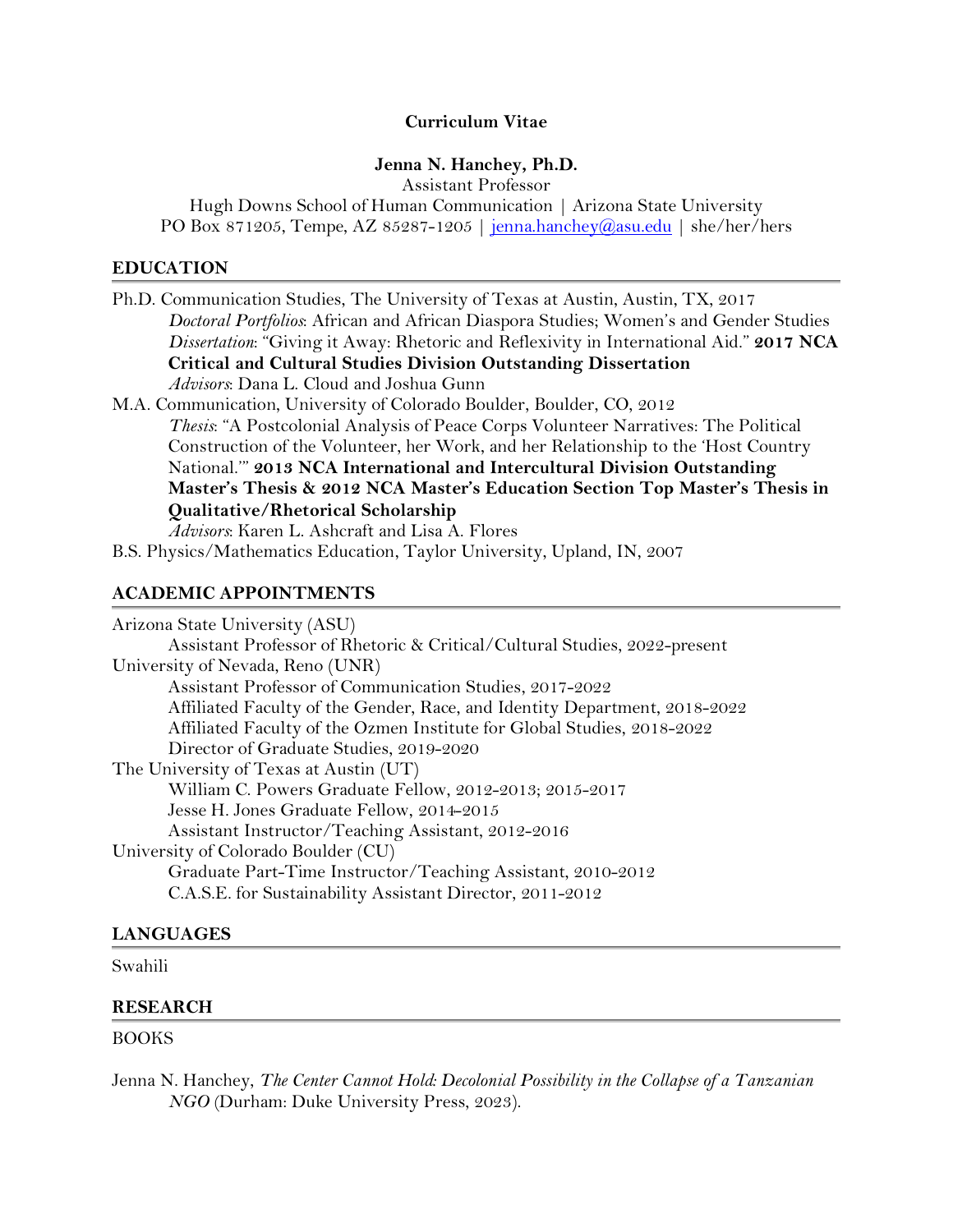## **Curriculum Vitae**

# **Jenna N. Hanchey, Ph.D.**

Assistant Professor Hugh Downs School of Human Communication | Arizona State University PO Box 871205, Tempe, AZ 85287-1205 | [jenna.hanchey@asu.edu](mailto:jenna.hanchey@asu.edu) | she/her/hers

#### **EDUCATION**

| Ph.D. Communication Studies, The University of Texas at Austin, Austin, TX, 2017        |  |
|-----------------------------------------------------------------------------------------|--|
| Doctoral Portfolios: African and African Diaspora Studies; Women's and Gender Studies   |  |
| Dissertation: "Giving it Away: Rhetoric and Reflexivity in International Aid." 2017 NCA |  |
| <b>Critical and Cultural Studies Division Outstanding Dissertation</b>                  |  |
| Advisors: Dana L. Cloud and Joshua Gunn                                                 |  |
| M.A. Communication, University of Colorado Boulder, Boulder, CO, 2012                   |  |
| Thesis: "A Postcolonial Analysis of Peace Corps Volunteer Narratives: The Political     |  |
| Construction of the Volunteer, her Work, and her Relationship to the 'Host Country      |  |
| National." 2013 NCA International and Intercultural Division Outstanding                |  |
| Master's Thesis & 2012 NCA Master's Education Section Top Master's Thesis in            |  |
| Qualitative/Rhetorical Scholarship                                                      |  |
| Advisors: Karen L. Ashcraft and Lisa A. Flores                                          |  |
| B.S. Physics/Mathematics Education, Taylor University, Upland, IN, 2007                 |  |
|                                                                                         |  |
| <b>ACADEMIC APPOINTMENTS</b>                                                            |  |
| Arizona State University (ASU)                                                          |  |
| Assistant Professor of Rhetoric & Critical/Cultural Studies, 2022-present               |  |
| University of Nevada, Reno (UNR)                                                        |  |
| Assistant Professor of Communication Studies, 2017-2022                                 |  |
| Affiliated Faculty of the Gender, Race, and Identity Department, 2018-2022              |  |
| Affiliated Faculty of the Ozmen Institute for Global Studies, 2018-2022                 |  |
| Director of Graduate Studies, 2019-2020                                                 |  |
| The University of Texas at Austin (UT)                                                  |  |
| William C. Powers Graduate Fellow, 2012-2013; 2015-2017                                 |  |
| Jesse H. Jones Graduate Fellow, 2014-2015                                               |  |
| Assistant Instructor/Teaching Assistant, 2012-2016                                      |  |
| University of Colorado Boulder (CU)                                                     |  |
| Graduate Part-Time Instructor/Teaching Assistant, 2010-2012                             |  |
| C.A.S.E. for Sustainability Assistant Director, 2011-2012                               |  |
|                                                                                         |  |

# **LANGUAGES**

## Swahili

## **RESEARCH**

## BOOKS

Jenna N. Hanchey, *The Center Cannot Hold: Decolonial Possibility in the Collapse of a Tanzanian NGO* (Durham: Duke University Press, 2023).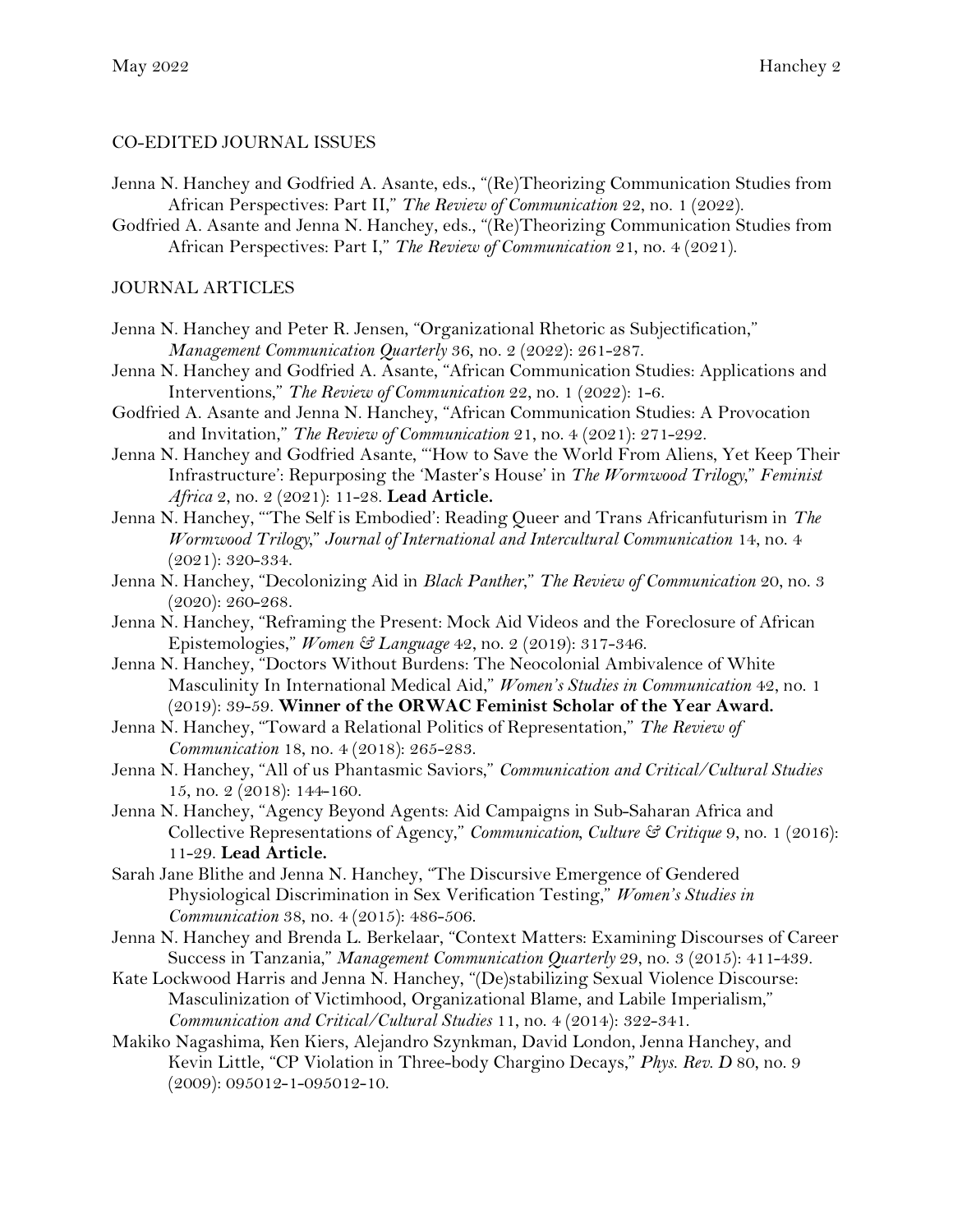## CO-EDITED JOURNAL ISSUES

- Jenna N. Hanchey and Godfried A. Asante, eds., "(Re)Theorizing Communication Studies from African Perspectives: Part II," *The Review of Communication* 22, no. 1 (2022).
- Godfried A. Asante and Jenna N. Hanchey, eds., "(Re)Theorizing Communication Studies from African Perspectives: Part I," *The Review of Communication* 21, no. 4 (2021).

### JOURNAL ARTICLES

- Jenna N. Hanchey and Peter R. Jensen, "Organizational Rhetoric as Subjectification," *Management Communication Quarterly* 36, no. 2 (2022): 261-287.
- Jenna N. Hanchey and Godfried A. Asante, "African Communication Studies: Applications and Interventions," *The Review of Communication* 22, no. 1 (2022): 1-6.
- Godfried A. Asante and Jenna N. Hanchey, "African Communication Studies: A Provocation and Invitation," *The Review of Communication* 21, no. 4 (2021): 271-292.
- Jenna N. Hanchey and Godfried Asante, "'How to Save the World From Aliens, Yet Keep Their Infrastructure': Repurposing the 'Master's House' in *The Wormwood Trilogy*," *Feminist Africa* 2, no. 2 (2021): 11-28. **Lead Article.**
- Jenna N. Hanchey, "'The Self is Embodied': Reading Queer and Trans Africanfuturism in *The Wormwood Trilogy*," *Journal of International and Intercultural Communication* 14, no. 4 (2021): 320-334.
- Jenna N. Hanchey, "Decolonizing Aid in *Black Panther*," *The Review of Communication* 20, no. 3 (2020): 260-268.
- Jenna N. Hanchey, "Reframing the Present: Mock Aid Videos and the Foreclosure of African Epistemologies," *Women & Language* 42, no. 2 (2019): 317-346.
- Jenna N. Hanchey, "Doctors Without Burdens: The Neocolonial Ambivalence of White Masculinity In International Medical Aid," *Women's Studies in Communication* 42, no. 1 (2019): 39-59. **Winner of the ORWAC Feminist Scholar of the Year Award.**
- Jenna N. Hanchey, "Toward a Relational Politics of Representation," *The Review of Communication* 18, no. 4 (2018): 265-283.
- Jenna N. Hanchey, "All of us Phantasmic Saviors," *Communication and Critical/Cultural Studies* 15, no. 2 (2018): 144-160.
- Jenna N. Hanchey, "Agency Beyond Agents: Aid Campaigns in Sub-Saharan Africa and Collective Representations of Agency," *Communication, Culture & Critique* 9, no. 1 (2016): 11-29. **Lead Article.**
- Sarah Jane Blithe and Jenna N. Hanchey, "The Discursive Emergence of Gendered Physiological Discrimination in Sex Verification Testing," *Women's Studies in Communication* 38, no. 4 (2015): 486-506.
- Jenna N. Hanchey and Brenda L. Berkelaar, "Context Matters: Examining Discourses of Career Success in Tanzania," *Management Communication Quarterly* 29, no. 3 (2015): 411-439.
- Kate Lockwood Harris and Jenna N. Hanchey, "(De)stabilizing Sexual Violence Discourse: Masculinization of Victimhood, Organizational Blame, and Labile Imperialism," *Communication and Critical/Cultural Studies* 11, no. 4 (2014): 322-341.
- Makiko Nagashima, Ken Kiers, Alejandro Szynkman, David London, Jenna Hanchey, and Kevin Little, "CP Violation in Three-body Chargino Decays," *Phys. Rev. D* 80, no. 9 (2009): 095012-1-095012-10.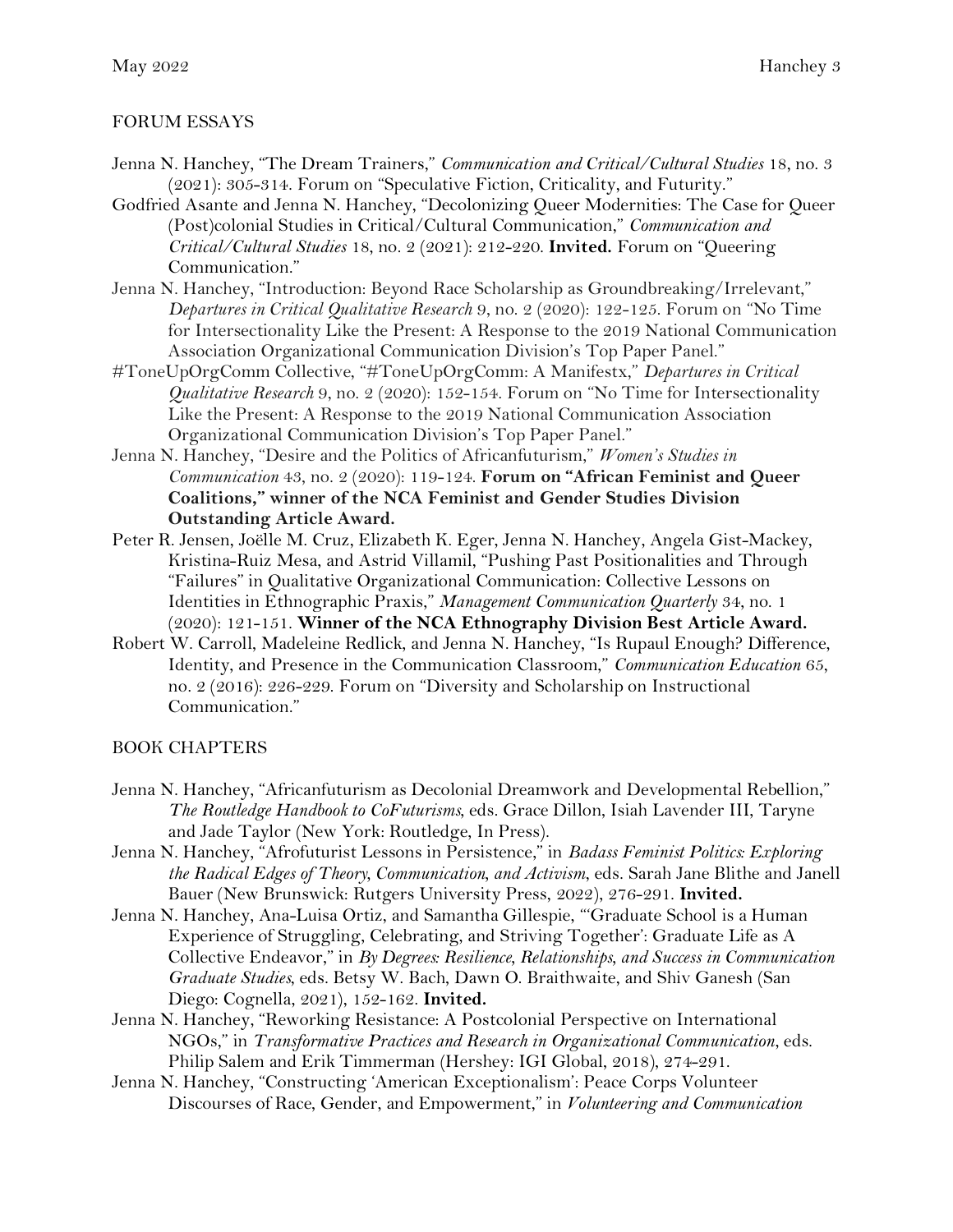# FORUM ESSAYS

- Jenna N. Hanchey, "The Dream Trainers," *Communication and Critical/Cultural Studies* 18, no. 3 (2021): 305-314. Forum on "Speculative Fiction, Criticality, and Futurity."
- Godfried Asante and Jenna N. Hanchey, "Decolonizing Queer Modernities: The Case for Queer (Post)colonial Studies in Critical/Cultural Communication," *Communication and Critical/Cultural Studies* 18, no. 2 (2021): 212-220. **Invited.** Forum on "Queering Communication."
- Jenna N. Hanchey, "Introduction: Beyond Race Scholarship as Groundbreaking/Irrelevant," *Departures in Critical Qualitative Research* 9, no. 2 (2020): 122-125. Forum on "No Time for Intersectionality Like the Present: A Response to the 2019 National Communication Association Organizational Communication Division's Top Paper Panel."
- #ToneUpOrgComm Collective, "#ToneUpOrgComm: A Manifestx," *Departures in Critical Qualitative Research* 9, no. 2 (2020): 152-154. Forum on "No Time for Intersectionality Like the Present: A Response to the 2019 National Communication Association Organizational Communication Division's Top Paper Panel."
- Jenna N. Hanchey, "Desire and the Politics of Africanfuturism," *Women's Studies in Communication* 43, no. 2 (2020): 119-124. **Forum on "African Feminist and Queer Coalitions," winner of the NCA Feminist and Gender Studies Division Outstanding Article Award.**
- Peter R. Jensen, Joëlle M. Cruz, Elizabeth K. Eger, Jenna N. Hanchey, Angela Gist-Mackey, Kristina-Ruiz Mesa, and Astrid Villamil, "Pushing Past Positionalities and Through "Failures" in Qualitative Organizational Communication: Collective Lessons on Identities in Ethnographic Praxis," *Management Communication Quarterly* 34, no. 1 (2020): 121-151. **Winner of the NCA Ethnography Division Best Article Award.**
- Robert W. Carroll, Madeleine Redlick, and Jenna N. Hanchey, "Is Rupaul Enough? Difference, Identity, and Presence in the Communication Classroom," *Communication Education* 65, no. 2 (2016): 226-229. Forum on "Diversity and Scholarship on Instructional Communication."

## BOOK CHAPTERS

- Jenna N. Hanchey, "Africanfuturism as Decolonial Dreamwork and Developmental Rebellion," *The Routledge Handbook to CoFuturisms*, eds. Grace Dillon, Isiah Lavender III, Taryne and Jade Taylor (New York: Routledge, In Press).
- Jenna N. Hanchey, "Afrofuturist Lessons in Persistence," in *Badass Feminist Politics: Exploring the Radical Edges of Theory, Communication, and Activism*, eds. Sarah Jane Blithe and Janell Bauer (New Brunswick: Rutgers University Press, 2022), 276-291. **Invited.**
- Jenna N. Hanchey, Ana-Luisa Ortiz, and Samantha Gillespie, "'Graduate School is a Human Experience of Struggling, Celebrating, and Striving Together': Graduate Life as A Collective Endeavor," in *By Degrees: Resilience, Relationships, and Success in Communication Graduate Studies*, eds. Betsy W. Bach, Dawn O. Braithwaite, and Shiv Ganesh (San Diego: Cognella, 2021), 152-162. **Invited.**
- Jenna N. Hanchey, "Reworking Resistance: A Postcolonial Perspective on International NGOs," in *Transformative Practices and Research in Organizational Communication*, eds. Philip Salem and Erik Timmerman (Hershey: IGI Global, 2018), 274-291.
- Jenna N. Hanchey, "Constructing 'American Exceptionalism': Peace Corps Volunteer Discourses of Race, Gender, and Empowerment," in *Volunteering and Communication*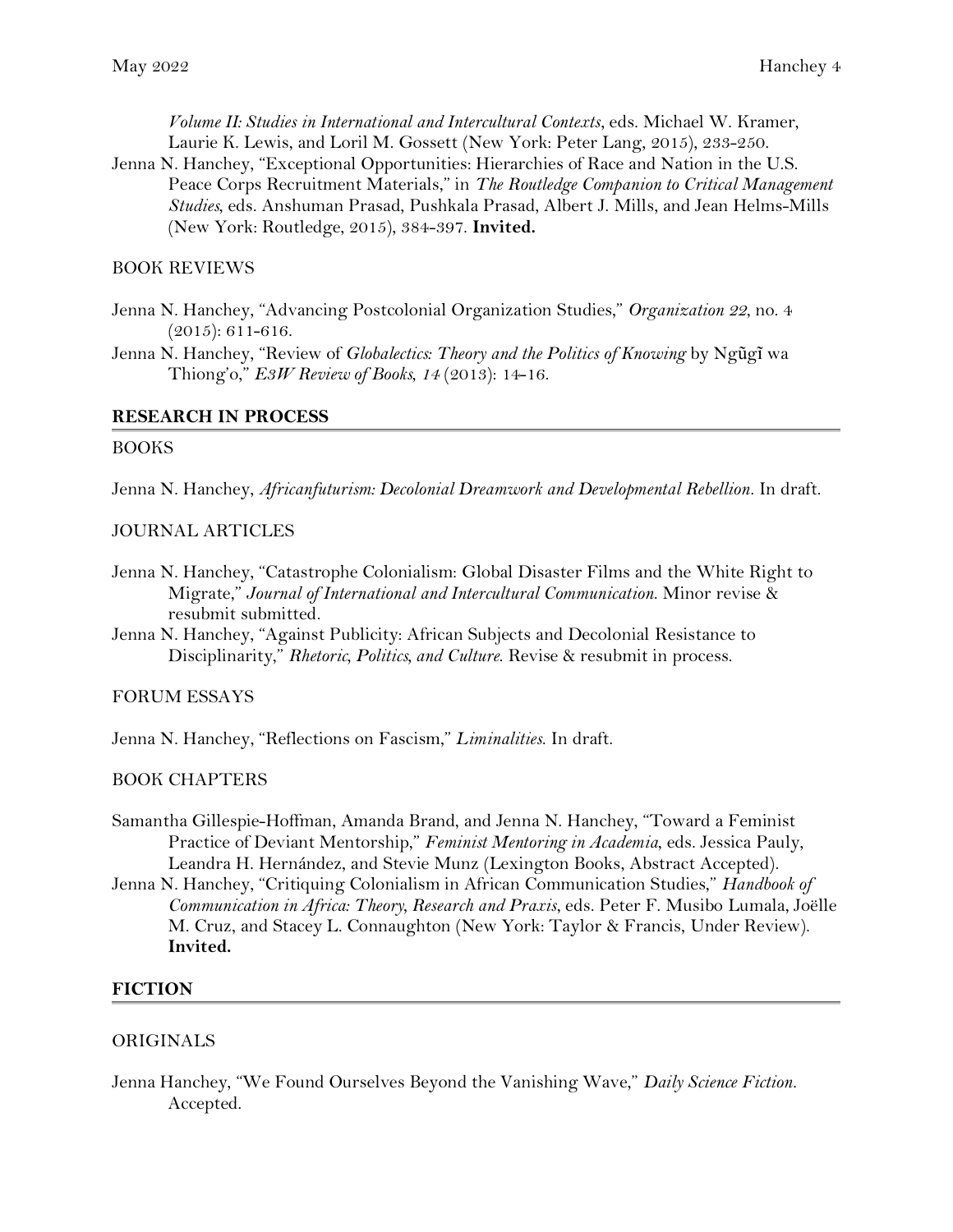*Volume II: Studies in International and Intercultural Contexts*, eds. Michael W. Kramer, Laurie K. Lewis, and Loril M. Gossett (New York: Peter Lang, 2015), 233-250.

Jenna N. Hanchey, "Exceptional Opportunities: Hierarchies of Race and Nation in the U.S. Peace Corps Recruitment Materials," in *The Routledge Companion to Critical Management Studies*, eds. Anshuman Prasad, Pushkala Prasad, Albert J. Mills, and Jean Helms-Mills (New York: Routledge, 2015), 384-397. **Invited.**

## BOOK REVIEWS

- Jenna N. Hanchey, "Advancing Postcolonial Organization Studies," *Organization 22*, no. 4 (2015): 611-616.
- Jenna N. Hanchey, "Review of *Globalectics: Theory and the Politics of Knowing* by Ngũgĩ wa Thiong'o," *E3W Review of Books*, *14* (2013): 14-16.

#### **RESEARCH IN PROCESS**

#### BOOKS

Jenna N. Hanchey, *Africanfuturism: Decolonial Dreamwork and Developmental Rebellion*. In draft.

#### JOURNAL ARTICLES

- Jenna N. Hanchey, "Catastrophe Colonialism: Global Disaster Films and the White Right to Migrate," *Journal of International and Intercultural Communication*. Minor revise & resubmit submitted.
- Jenna N. Hanchey, "Against Publicity: African Subjects and Decolonial Resistance to Disciplinarity," *Rhetoric, Politics, and Culture*. Revise & resubmit in process.

## FORUM ESSAYS

Jenna N. Hanchey, "Reflections on Fascism," *Liminalities*. In draft.

## BOOK CHAPTERS

- Samantha Gillespie-Hoffman, Amanda Brand, and Jenna N. Hanchey, "Toward a Feminist Practice of Deviant Mentorship," *Feminist Mentoring in Academia*, eds. Jessica Pauly, Leandra H. Hernández, and Stevie Munz (Lexington Books, Abstract Accepted).
- Jenna N. Hanchey, "Critiquing Colonialism in African Communication Studies," *Handbook of Communication in Africa: Theory, Research and Praxis*, eds. Peter F. Musibo Lumala, Joëlle M. Cruz, and Stacey L. Connaughton (New York: Taylor & Francis, Under Review). **Invited.**

#### **FICTION**

#### ORIGINALS

Jenna Hanchey, "We Found Ourselves Beyond the Vanishing Wave," *Daily Science Fiction.* Accepted.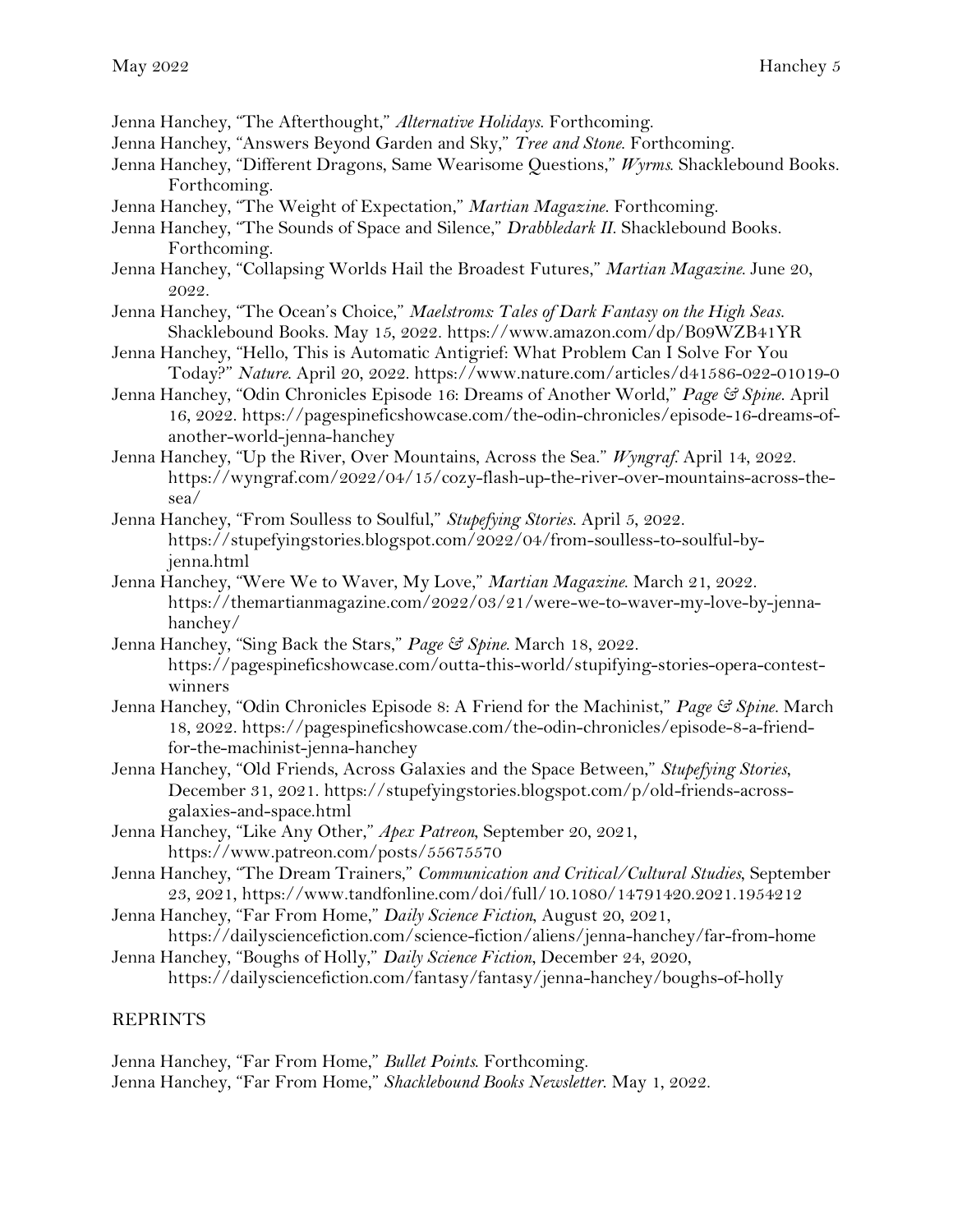Jenna Hanchey, "The Afterthought," *Alternative Holidays*. Forthcoming.

- Jenna Hanchey, "Answers Beyond Garden and Sky," *Tree and Stone*. Forthcoming.
- Jenna Hanchey, "Different Dragons, Same Wearisome Questions," *Wyrms*. Shacklebound Books. Forthcoming.
- Jenna Hanchey, "The Weight of Expectation," *Martian Magazine*. Forthcoming.
- Jenna Hanchey, "The Sounds of Space and Silence," *Drabbledark II*. Shacklebound Books. Forthcoming.
- Jenna Hanchey, "Collapsing Worlds Hail the Broadest Futures," *Martian Magazine*. June 20, 2022.
- Jenna Hanchey, "The Ocean's Choice," *Maelstroms: Tales of Dark Fantasy on the High Seas*. Shacklebound Books. May 15, 2022. https://www.amazon.com/dp/B09WZB41YR
- Jenna Hanchey, "Hello, This is Automatic Antigrief: What Problem Can I Solve For You Today?" *Nature*. April 20, 2022. https://www.nature.com/articles/d41586-022-01019-0
- Jenna Hanchey, "Odin Chronicles Episode 16: Dreams of Another World," *Page & Spine*. April 16, 2022. https://pagespineficshowcase.com/the-odin-chronicles/episode-16-dreams-ofanother-world-jenna-hanchey
- Jenna Hanchey, "Up the River, Over Mountains, Across the Sea." *Wyngraf*. April 14, 2022. https://wyngraf.com/2022/04/15/cozy-flash-up-the-river-over-mountains-across-thesea/
- Jenna Hanchey, "From Soulless to Soulful," *Stupefying Stories*. April 5, 2022. https://stupefyingstories.blogspot.com/2022/04/from-soulless-to-soulful-byjenna.html
- Jenna Hanchey, "Were We to Waver, My Love," *Martian Magazine*. March 21, 2022. https://themartianmagazine.com/2022/03/21/were-we-to-waver-my-love-by-jennahanchey/
- Jenna Hanchey, "Sing Back the Stars," *Page & Spine*. March 18, 2022. https://pagespineficshowcase.com/outta-this-world/stupifying-stories-opera-contestwinners
- Jenna Hanchey, "Odin Chronicles Episode 8: A Friend for the Machinist," *Page & Spine*. March 18, 2022. https://pagespineficshowcase.com/the-odin-chronicles/episode-8-a-friendfor-the-machinist-jenna-hanchey
- Jenna Hanchey, "Old Friends, Across Galaxies and the Space Between," *Stupefying Stories*, December 31, 2021. https://stupefyingstories.blogspot.com/p/old-friends-acrossgalaxies-and-space.html
- Jenna Hanchey, "Like Any Other," *Apex Patreon*, September 20, 2021, https://www.patreon.com/posts/55675570
- Jenna Hanchey, "The Dream Trainers," *Communication and Critical/Cultural Studies*, September 23, 2021, https://www.tandfonline.com/doi/full/10.1080/14791420.2021.1954212
- Jenna Hanchey, "Far From Home," *Daily Science Fiction*, August 20, 2021,
- https://dailysciencefiction.com/science-fiction/aliens/jenna-hanchey/far-from-home Jenna Hanchey, "Boughs of Holly," *Daily Science Fiction*, December 24, 2020,

https://dailysciencefiction.com/fantasy/fantasy/jenna-hanchey/boughs-of-holly

## REPRINTS

Jenna Hanchey, "Far From Home," *Bullet Points*. Forthcoming. Jenna Hanchey, "Far From Home," *Shacklebound Books Newsletter*. May 1, 2022.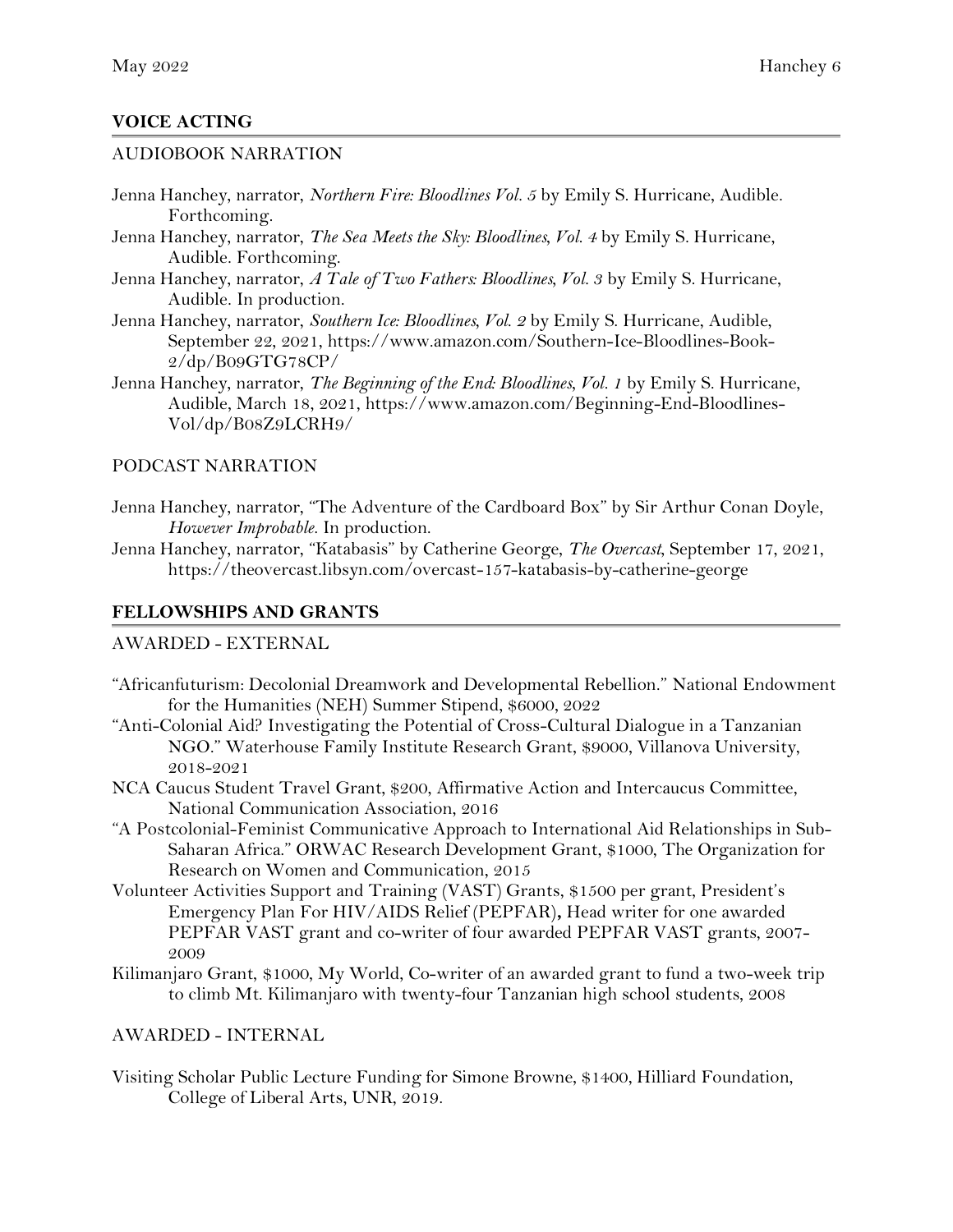## **VOICE ACTING**

## AUDIOBOOK NARRATION

- Jenna Hanchey, narrator, *Northern Fire: Bloodlines Vol. 5* by Emily S. Hurricane, Audible. Forthcoming.
- Jenna Hanchey, narrator, *The Sea Meets the Sky: Bloodlines, Vol. 4* by Emily S. Hurricane, Audible. Forthcoming.
- Jenna Hanchey, narrator, *A Tale of Two Fathers: Bloodlines, Vol. 3* by Emily S. Hurricane, Audible. In production.
- Jenna Hanchey, narrator, *Southern Ice: Bloodlines, Vol. 2* by Emily S. Hurricane, Audible, September 22, 2021, https://www.amazon.com/Southern-Ice-Bloodlines-Book-2/dp/B09GTG78CP/
- Jenna Hanchey, narrator, *The Beginning of the End: Bloodlines, Vol. 1* by Emily S. Hurricane, Audible, March 18, 2021, https://www.amazon.com/Beginning-End-Bloodlines-Vol/dp/B08Z9LCRH9/

#### PODCAST NARRATION

- Jenna Hanchey, narrator, "The Adventure of the Cardboard Box" by Sir Arthur Conan Doyle, *However Improbable*. In production.
- Jenna Hanchey, narrator, "Katabasis" by Catherine George, *The Overcast*, September 17, 2021, https://theovercast.libsyn.com/overcast-157-katabasis-by-catherine-george

## **FELLOWSHIPS AND GRANTS**

## AWARDED - EXTERNAL

- "Africanfuturism: Decolonial Dreamwork and Developmental Rebellion." National Endowment for the Humanities (NEH) Summer Stipend, \$6000, 2022
- "Anti-Colonial Aid? Investigating the Potential of Cross-Cultural Dialogue in a Tanzanian NGO." Waterhouse Family Institute Research Grant, \$9000, Villanova University, 2018-2021
- NCA Caucus Student Travel Grant, \$200, Affirmative Action and Intercaucus Committee, National Communication Association, 2016
- "A Postcolonial-Feminist Communicative Approach to International Aid Relationships in Sub-Saharan Africa." ORWAC Research Development Grant, \$1000, The Organization for Research on Women and Communication, 2015
- Volunteer Activities Support and Training (VAST) Grants, \$1500 per grant, President's Emergency Plan For HIV/AIDS Relief (PEPFAR)**,** Head writer for one awarded PEPFAR VAST grant and co-writer of four awarded PEPFAR VAST grants, 2007- 2009
- Kilimanjaro Grant, \$1000, My World, Co-writer of an awarded grant to fund a two-week trip to climb Mt. Kilimanjaro with twenty-four Tanzanian high school students, 2008

## AWARDED - INTERNAL

Visiting Scholar Public Lecture Funding for Simone Browne, \$1400, Hilliard Foundation, College of Liberal Arts, UNR, 2019.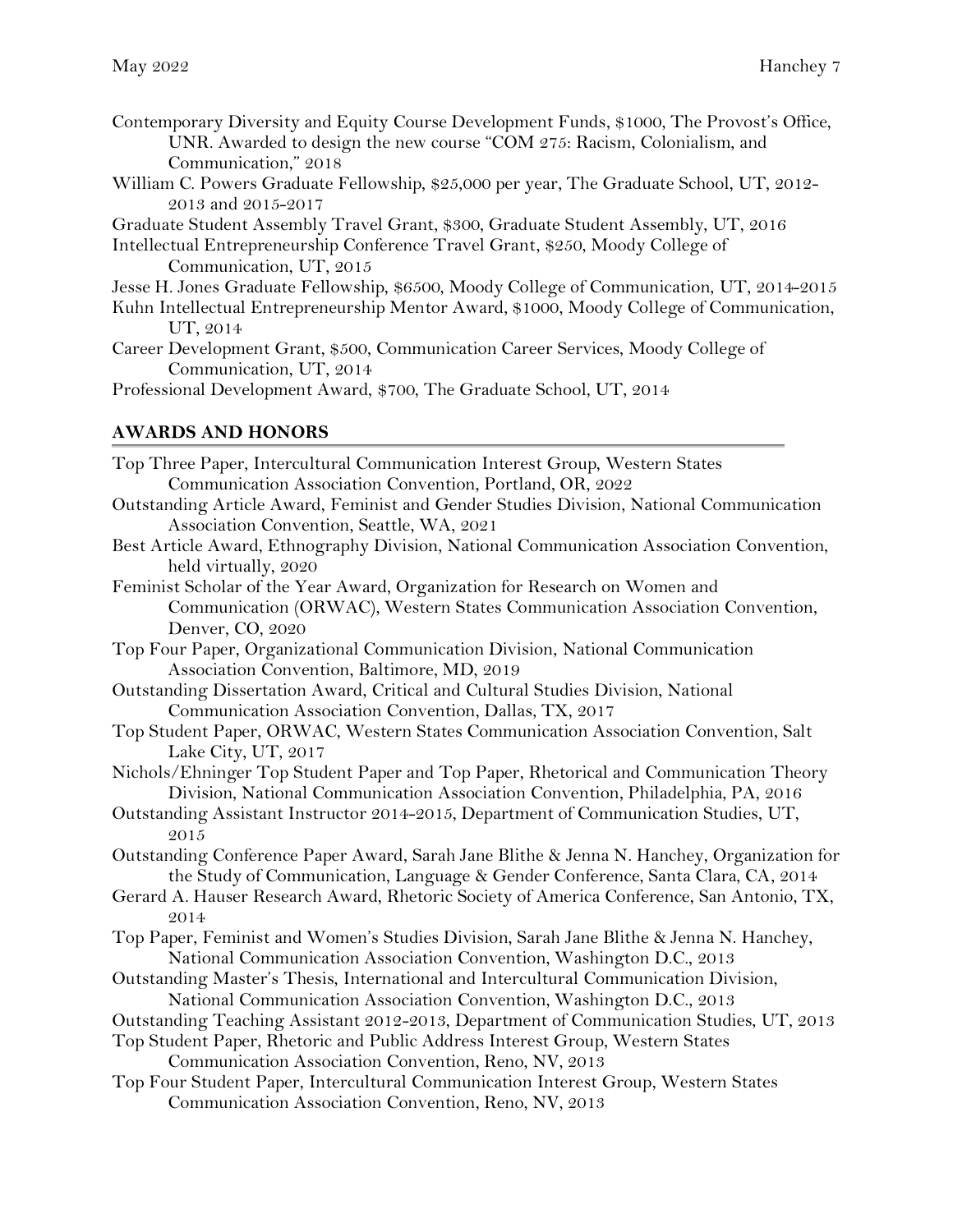- Contemporary Diversity and Equity Course Development Funds, \$1000, The Provost's Office, UNR. Awarded to design the new course "COM 275: Racism, Colonialism, and Communication," 2018
- William C. Powers Graduate Fellowship, \$25,000 per year, The Graduate School, UT, 2012- 2013 and 2015-2017

Graduate Student Assembly Travel Grant, \$300, Graduate Student Assembly, UT, 2016

Intellectual Entrepreneurship Conference Travel Grant, \$250, Moody College of Communication, UT, 2015

- Jesse H. Jones Graduate Fellowship, \$6500, Moody College of Communication, UT, 2014-2015
- Kuhn Intellectual Entrepreneurship Mentor Award, \$1000, Moody College of Communication, UT, 2014
- Career Development Grant, \$500, Communication Career Services, Moody College of Communication, UT, 2014

Professional Development Award, \$700, The Graduate School, UT, 2014

## **AWARDS AND HONORS**

- Top Three Paper, Intercultural Communication Interest Group, Western States Communication Association Convention, Portland, OR, 2022 Outstanding Article Award, Feminist and Gender Studies Division, National Communication Association Convention, Seattle, WA, 2021 Best Article Award, Ethnography Division, National Communication Association Convention, held virtually, 2020 Feminist Scholar of the Year Award, Organization for Research on Women and Communication (ORWAC), Western States Communication Association Convention, Denver, CO, 2020 Top Four Paper, Organizational Communication Division, National Communication Association Convention, Baltimore, MD, 2019 Outstanding Dissertation Award, Critical and Cultural Studies Division, National Communication Association Convention, Dallas, TX, 2017 Top Student Paper, ORWAC, Western States Communication Association Convention, Salt Lake City, UT, 2017 Nichols/Ehninger Top Student Paper and Top Paper, Rhetorical and Communication Theory Division, National Communication Association Convention, Philadelphia, PA, 2016 Outstanding Assistant Instructor 2014-2015, Department of Communication Studies, UT, 2015 Outstanding Conference Paper Award, Sarah Jane Blithe & Jenna N. Hanchey, Organization for the Study of Communication, Language & Gender Conference, Santa Clara, CA, 2014 Gerard A. Hauser Research Award, Rhetoric Society of America Conference, San Antonio, TX, 2014 Top Paper, Feminist and Women's Studies Division, Sarah Jane Blithe & Jenna N. Hanchey, National Communication Association Convention, Washington D.C., 2013 Outstanding Master's Thesis, International and Intercultural Communication Division, National Communication Association Convention, Washington D.C., 2013 Outstanding Teaching Assistant 2012-2013, Department of Communication Studies, UT, 2013 Top Student Paper, Rhetoric and Public Address Interest Group, Western States Communication Association Convention, Reno, NV, 2013
- Top Four Student Paper, Intercultural Communication Interest Group, Western States Communication Association Convention, Reno, NV, 2013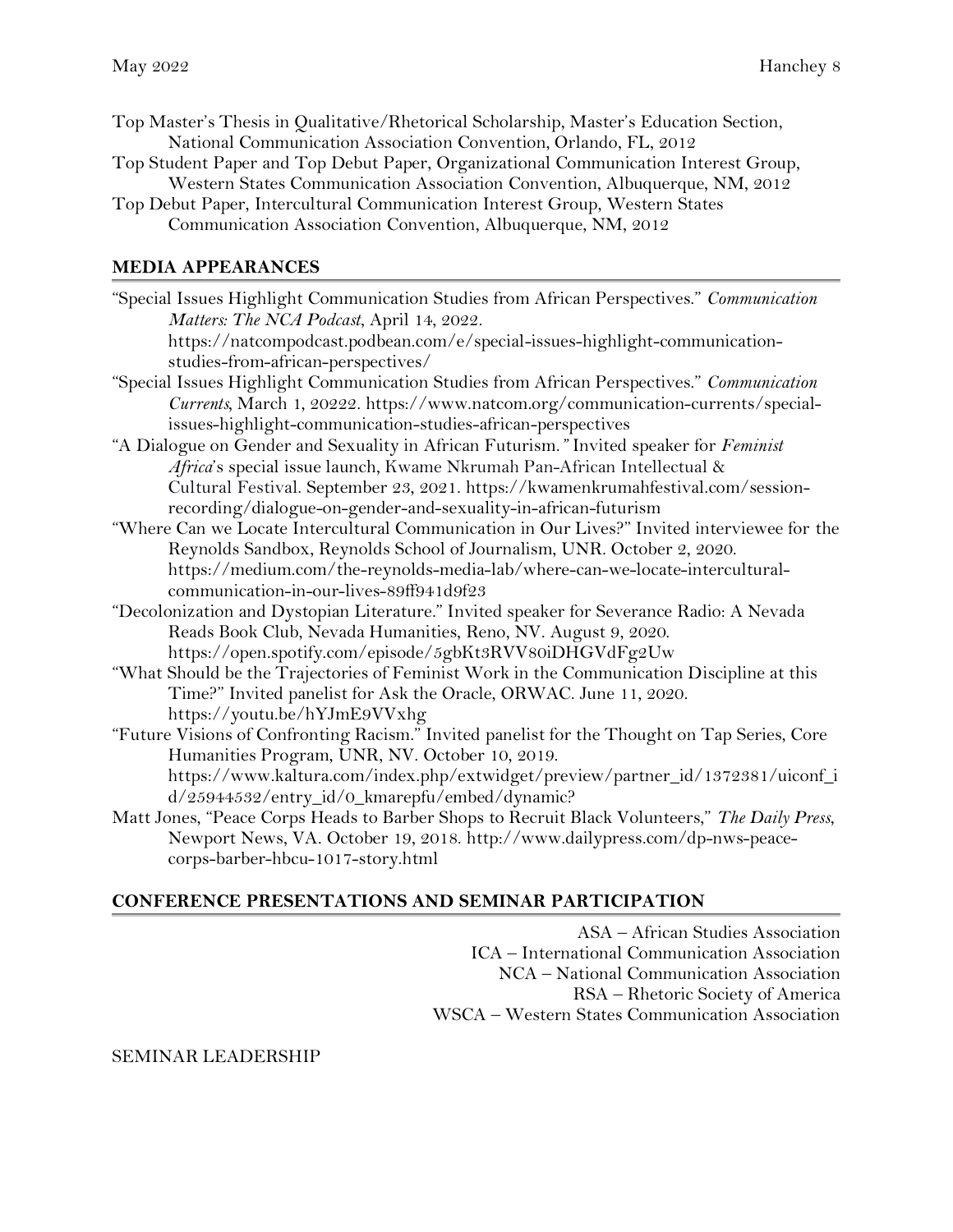- Top Master's Thesis in Qualitative/Rhetorical Scholarship, Master's Education Section, National Communication Association Convention, Orlando, FL, 2012
- Top Student Paper and Top Debut Paper, Organizational Communication Interest Group, Western States Communication Association Convention, Albuquerque, NM, 2012
- Top Debut Paper, Intercultural Communication Interest Group, Western States Communication Association Convention, Albuquerque, NM, 2012

## **MEDIA APPEARANCES**

"Special Issues Highlight Communication Studies from African Perspectives." *Communication Matters: The NCA Podcast*, April 14, 2022. https://natcompodcast.podbean.com/e/special-issues-highlight-communicationstudies-from-african-perspectives/ "Special Issues Highlight Communication Studies from African Perspectives." *Communication Currents,* March 1, 20222. https://www.natcom.org/communication-currents/specialissues-highlight-communication-studies-african-perspectives "A Dialogue on Gender and Sexuality in African Futurism.*"* Invited speaker for *Feminist Africa*'s special issue launch, Kwame Nkrumah Pan-African Intellectual & Cultural Festival. September 23, 2021. https://kwamenkrumahfestival.com/sessionrecording/dialogue-on-gender-and-sexuality-in-african-futurism "Where Can we Locate Intercultural Communication in Our Lives?" Invited interviewee for the Reynolds Sandbox, Reynolds School of Journalism, UNR. October 2, 2020. https://medium.com/the-reynolds-media-lab/where-can-we-locate-interculturalcommunication-in-our-lives-89ff941d9f23 "Decolonization and Dystopian Literature." Invited speaker for Severance Radio: A Nevada Reads Book Club, Nevada Humanities, Reno, NV. August 9, 2020. https://open.spotify.com/episode/5gbKt3RVV80iDHGVdFg2Uw "What Should be the Trajectories of Feminist Work in the Communication Discipline at this Time?" Invited panelist for Ask the Oracle, ORWAC. June 11, 2020. https://youtu.be/hYJmE9VVxhg "Future Visions of Confronting Racism." Invited panelist for the Thought on Tap Series, Core Humanities Program, UNR, NV. October 10, 2019. https://www.kaltura.com/index.php/extwidget/preview/partner\_id/1372381/uiconf\_i d/25944532/entry\_id/0\_kmarepfu/embed/dynamic? Matt Jones, "Peace Corps Heads to Barber Shops to Recruit Black Volunteers," *The Daily Press*,

Newport News, VA. October 19, 2018. http://www.dailypress.com/dp-nws-peacecorps-barber-hbcu-1017-story.html

#### **CONFERENCE PRESENTATIONS AND SEMINAR PARTICIPATION**

ASA – African Studies Association ICA – International Communication Association NCA – National Communication Association RSA – Rhetoric Society of America WSCA – Western States Communication Association

#### SEMINAR LEADERSHIP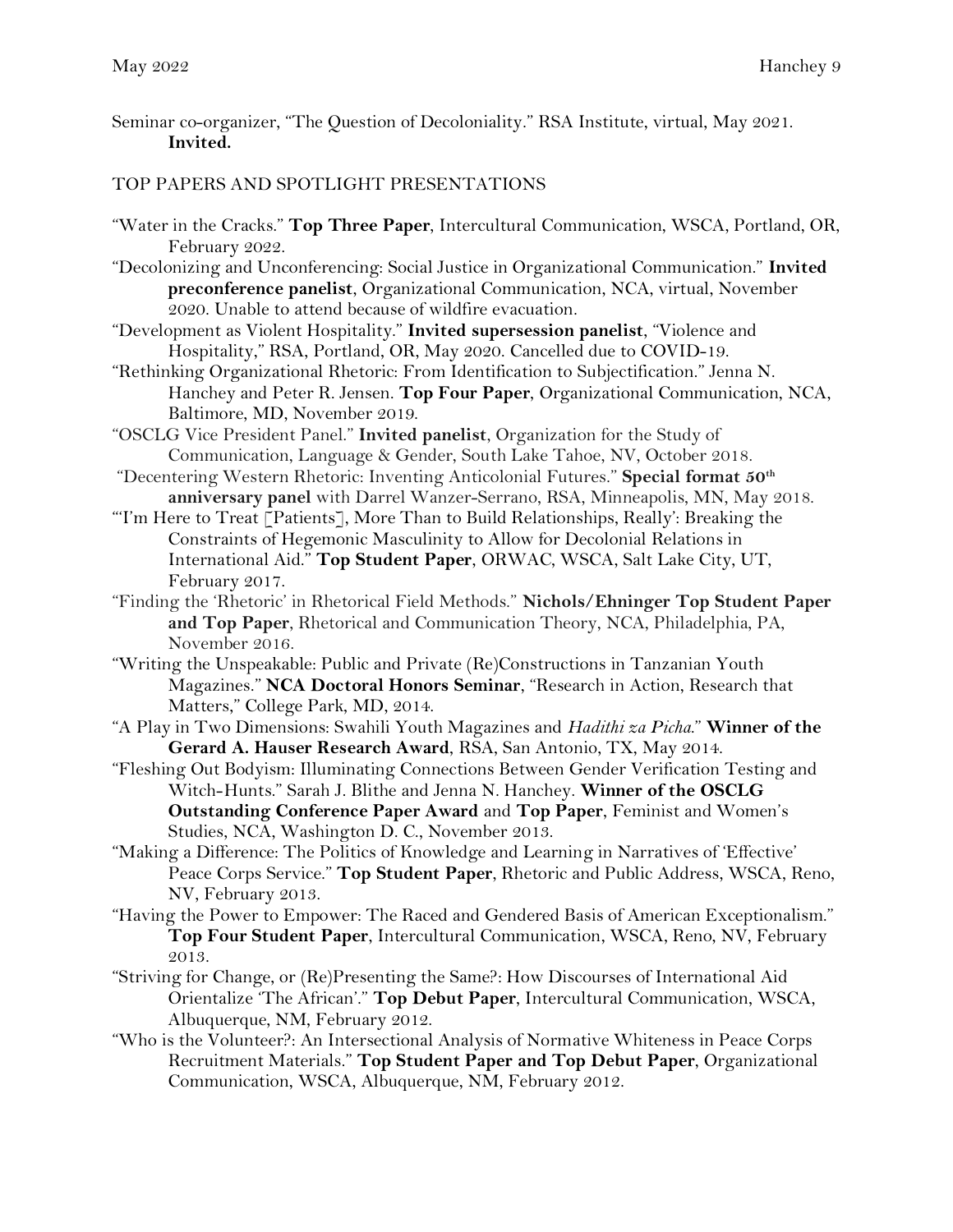Seminar co-organizer, "The Question of Decoloniality." RSA Institute, virtual, May 2021. **Invited.**

## TOP PAPERS AND SPOTLIGHT PRESENTATIONS

- "Water in the Cracks." **Top Three Paper**, Intercultural Communication, WSCA, Portland, OR, February 2022.
- "Decolonizing and Unconferencing: Social Justice in Organizational Communication." **Invited preconference panelist**, Organizational Communication, NCA, virtual, November 2020. Unable to attend because of wildfire evacuation.
- "Development as Violent Hospitality." **Invited supersession panelist**, "Violence and Hospitality," RSA, Portland, OR, May 2020. Cancelled due to COVID-19.
- "Rethinking Organizational Rhetoric: From Identification to Subjectification." Jenna N. Hanchey and Peter R. Jensen. **Top Four Paper**, Organizational Communication, NCA, Baltimore, MD, November 2019.
- "OSCLG Vice President Panel." **Invited panelist**, Organization for the Study of Communication, Language & Gender, South Lake Tahoe, NV, October 2018.
- "Decentering Western Rhetoric: Inventing Anticolonial Futures." **Special format 50th anniversary panel** with Darrel Wanzer-Serrano, RSA, Minneapolis, MN, May 2018.
- "'I'm Here to Treat [Patients], More Than to Build Relationships, Really': Breaking the Constraints of Hegemonic Masculinity to Allow for Decolonial Relations in International Aid." **Top Student Paper**, ORWAC, WSCA, Salt Lake City, UT, February 2017.
- "Finding the 'Rhetoric' in Rhetorical Field Methods." **Nichols/Ehninger Top Student Paper and Top Paper**, Rhetorical and Communication Theory, NCA, Philadelphia, PA, November 2016.
- "Writing the Unspeakable: Public and Private (Re)Constructions in Tanzanian Youth Magazines." **NCA Doctoral Honors Seminar**, "Research in Action, Research that Matters," College Park, MD, 2014.
- "A Play in Two Dimensions: Swahili Youth Magazines and *Hadithi za Picha*." **Winner of the Gerard A. Hauser Research Award**, RSA, San Antonio, TX, May 2014.
- "Fleshing Out Bodyism: Illuminating Connections Between Gender Verification Testing and Witch-Hunts." Sarah J. Blithe and Jenna N. Hanchey. **Winner of the OSCLG Outstanding Conference Paper Award** and **Top Paper**, Feminist and Women's Studies, NCA, Washington D. C., November 2013.
- "Making a Difference: The Politics of Knowledge and Learning in Narratives of 'Effective' Peace Corps Service." **Top Student Paper**, Rhetoric and Public Address, WSCA, Reno, NV, February 2013.
- "Having the Power to Empower: The Raced and Gendered Basis of American Exceptionalism." **Top Four Student Paper**, Intercultural Communication, WSCA, Reno, NV, February 2013.
- "Striving for Change, or (Re)Presenting the Same?: How Discourses of International Aid Orientalize 'The African'." **Top Debut Paper**, Intercultural Communication, WSCA, Albuquerque, NM, February 2012.
- "Who is the Volunteer?: An Intersectional Analysis of Normative Whiteness in Peace Corps Recruitment Materials." **Top Student Paper and Top Debut Paper**, Organizational Communication, WSCA, Albuquerque, NM, February 2012.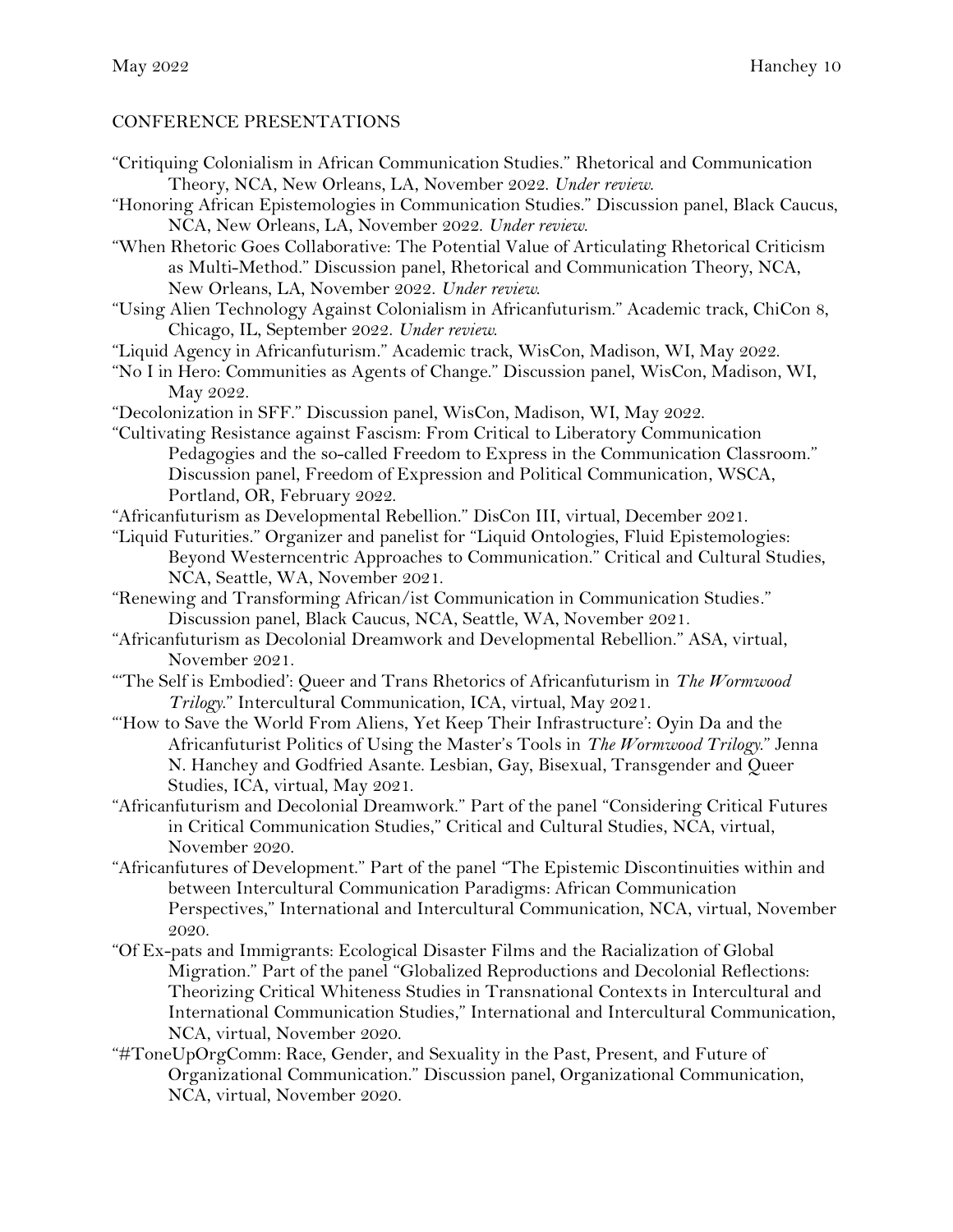## CONFERENCE PRESENTATIONS

"Critiquing Colonialism in African Communication Studies." Rhetorical and Communication Theory, NCA, New Orleans, LA, November 2022. *Under review*.

"Honoring African Epistemologies in Communication Studies." Discussion panel, Black Caucus, NCA, New Orleans, LA, November 2022. *Under review*.

"When Rhetoric Goes Collaborative: The Potential Value of Articulating Rhetorical Criticism as Multi-Method." Discussion panel, Rhetorical and Communication Theory, NCA, New Orleans, LA, November 2022. *Under review*.

"Using Alien Technology Against Colonialism in Africanfuturism." Academic track, ChiCon 8, Chicago, IL, September 2022. *Under review*.

"Liquid Agency in Africanfuturism." Academic track, WisCon, Madison, WI, May 2022.

"No I in Hero: Communities as Agents of Change." Discussion panel, WisCon, Madison, WI, May 2022.

"Decolonization in SFF." Discussion panel, WisCon, Madison, WI, May 2022.

"Cultivating Resistance against Fascism: From Critical to Liberatory Communication Pedagogies and the so-called Freedom to Express in the Communication Classroom." Discussion panel, Freedom of Expression and Political Communication, WSCA, Portland, OR, February 2022.

"Africanfuturism as Developmental Rebellion." DisCon III, virtual, December 2021.

"Liquid Futurities." Organizer and panelist for "Liquid Ontologies, Fluid Epistemologies: Beyond Westerncentric Approaches to Communication." Critical and Cultural Studies, NCA, Seattle, WA, November 2021.

- "Renewing and Transforming African/ist Communication in Communication Studies." Discussion panel, Black Caucus, NCA, Seattle, WA, November 2021.
- "Africanfuturism as Decolonial Dreamwork and Developmental Rebellion." ASA, virtual, November 2021.
- "'The Self is Embodied': Queer and Trans Rhetorics of Africanfuturism in *The Wormwood Trilogy*." Intercultural Communication, ICA, virtual, May 2021.
- "'How to Save the World From Aliens, Yet Keep Their Infrastructure': Oyin Da and the Africanfuturist Politics of Using the Master's Tools in *The Wormwood Trilogy*." Jenna N. Hanchey and Godfried Asante. Lesbian, Gay, Bisexual, Transgender and Queer Studies, ICA, virtual, May 2021.

"Africanfuturism and Decolonial Dreamwork." Part of the panel "Considering Critical Futures in Critical Communication Studies," Critical and Cultural Studies, NCA, virtual, November 2020.

- "Africanfutures of Development." Part of the panel "The Epistemic Discontinuities within and between Intercultural Communication Paradigms: African Communication Perspectives," International and Intercultural Communication, NCA, virtual, November 2020.
- "Of Ex-pats and Immigrants: Ecological Disaster Films and the Racialization of Global Migration." Part of the panel "Globalized Reproductions and Decolonial Reflections: Theorizing Critical Whiteness Studies in Transnational Contexts in Intercultural and International Communication Studies," International and Intercultural Communication, NCA, virtual, November 2020.
- "#ToneUpOrgComm: Race, Gender, and Sexuality in the Past, Present, and Future of Organizational Communication." Discussion panel, Organizational Communication, NCA, virtual, November 2020.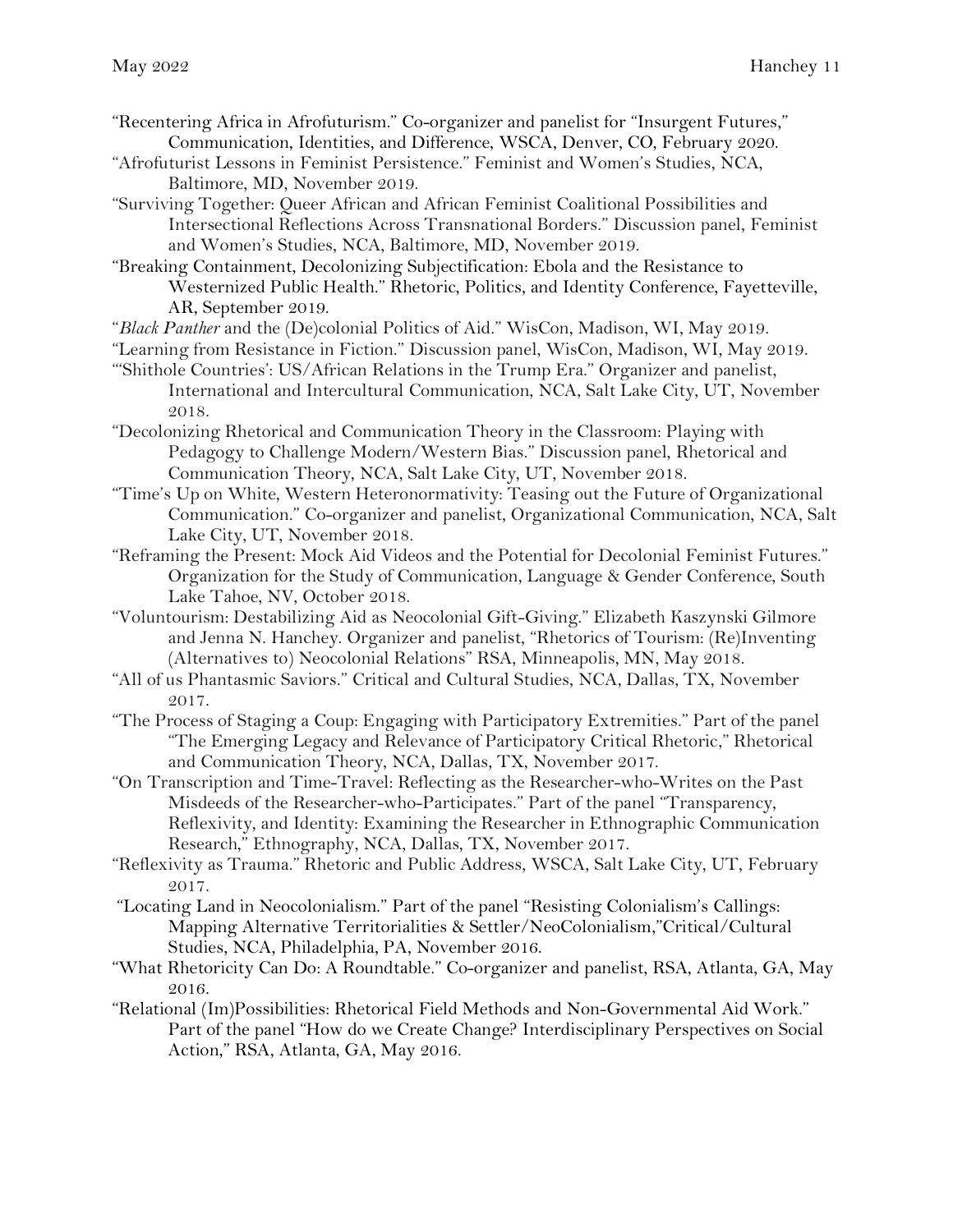- "Recentering Africa in Afrofuturism." Co-organizer and panelist for "Insurgent Futures," Communication, Identities, and Difference, WSCA, Denver, CO, February 2020.
- "Afrofuturist Lessons in Feminist Persistence." Feminist and Women's Studies, NCA, Baltimore, MD, November 2019.
- "Surviving Together: Queer African and African Feminist Coalitional Possibilities and Intersectional Reflections Across Transnational Borders." Discussion panel, Feminist and Women's Studies, NCA, Baltimore, MD, November 2019.
- "Breaking Containment, Decolonizing Subjectification: Ebola and the Resistance to Westernized Public Health." Rhetoric, Politics, and Identity Conference, Fayetteville, AR, September 2019.
- "*Black Panther* and the (De)colonial Politics of Aid." WisCon, Madison, WI, May 2019.
- "Learning from Resistance in Fiction." Discussion panel, WisCon, Madison, WI, May 2019.
- "'Shithole Countries': US/African Relations in the Trump Era." Organizer and panelist, International and Intercultural Communication, NCA, Salt Lake City, UT, November 2018.
- "Decolonizing Rhetorical and Communication Theory in the Classroom: Playing with Pedagogy to Challenge Modern/Western Bias." Discussion panel, Rhetorical and Communication Theory, NCA, Salt Lake City, UT, November 2018.
- "Time's Up on White, Western Heteronormativity: Teasing out the Future of Organizational Communication." Co-organizer and panelist, Organizational Communication, NCA, Salt Lake City, UT, November 2018.
- "Reframing the Present: Mock Aid Videos and the Potential for Decolonial Feminist Futures." Organization for the Study of Communication, Language & Gender Conference, South Lake Tahoe, NV, October 2018.
- "Voluntourism: Destabilizing Aid as Neocolonial Gift-Giving." Elizabeth Kaszynski Gilmore and Jenna N. Hanchey. Organizer and panelist, "Rhetorics of Tourism: (Re)Inventing (Alternatives to) Neocolonial Relations" RSA, Minneapolis, MN, May 2018.
- "All of us Phantasmic Saviors." Critical and Cultural Studies, NCA, Dallas, TX, November 2017.
- "The Process of Staging a Coup: Engaging with Participatory Extremities." Part of the panel "The Emerging Legacy and Relevance of Participatory Critical Rhetoric," Rhetorical and Communication Theory, NCA, Dallas, TX, November 2017.
- "On Transcription and Time-Travel: Reflecting as the Researcher-who-Writes on the Past Misdeeds of the Researcher-who-Participates." Part of the panel "Transparency, Reflexivity, and Identity: Examining the Researcher in Ethnographic Communication Research," Ethnography, NCA, Dallas, TX, November 2017.
- "Reflexivity as Trauma." Rhetoric and Public Address, WSCA, Salt Lake City, UT, February 2017.
- "Locating Land in Neocolonialism." Part of the panel "Resisting Colonialism's Callings: Mapping Alternative Territorialities & Settler/NeoColonialism,"Critical/Cultural Studies, NCA, Philadelphia, PA, November 2016.
- "What Rhetoricity Can Do: A Roundtable." Co-organizer and panelist, RSA, Atlanta, GA, May 2016.
- "Relational (Im)Possibilities: Rhetorical Field Methods and Non-Governmental Aid Work." Part of the panel "How do we Create Change? Interdisciplinary Perspectives on Social Action," RSA, Atlanta, GA, May 2016.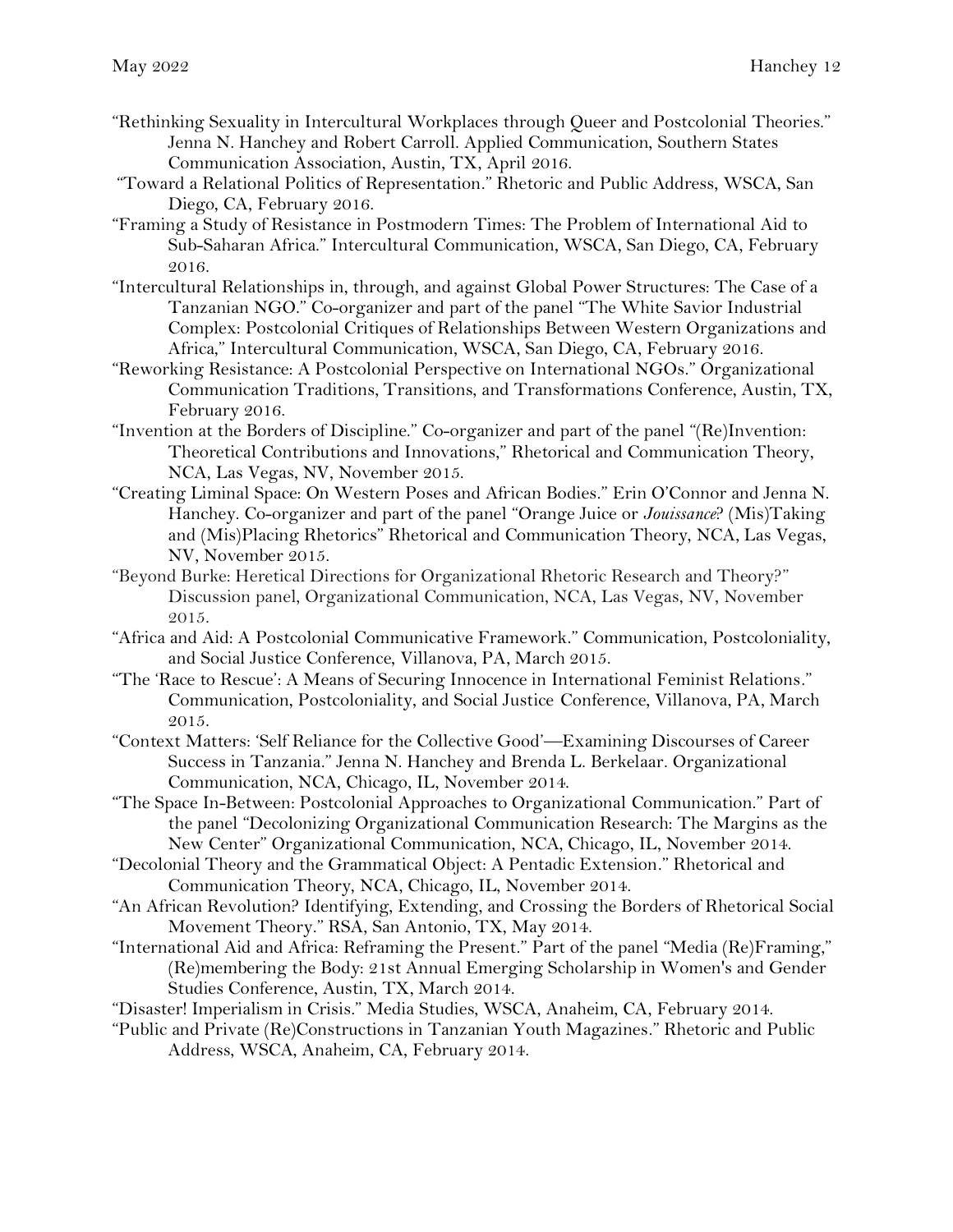- "Rethinking Sexuality in Intercultural Workplaces through Queer and Postcolonial Theories." Jenna N. Hanchey and Robert Carroll. Applied Communication, Southern States Communication Association, Austin, TX, April 2016.
- "Toward a Relational Politics of Representation." Rhetoric and Public Address, WSCA, San Diego, CA, February 2016.
- "Framing a Study of Resistance in Postmodern Times: The Problem of International Aid to Sub-Saharan Africa." Intercultural Communication, WSCA, San Diego, CA, February 2016.
- "Intercultural Relationships in, through, and against Global Power Structures: The Case of a Tanzanian NGO." Co-organizer and part of the panel "The White Savior Industrial Complex: Postcolonial Critiques of Relationships Between Western Organizations and Africa," Intercultural Communication, WSCA, San Diego, CA, February 2016.
- "Reworking Resistance: A Postcolonial Perspective on International NGOs." Organizational Communication Traditions, Transitions, and Transformations Conference, Austin, TX, February 2016.
- "Invention at the Borders of Discipline." Co-organizer and part of the panel "(Re)Invention: Theoretical Contributions and Innovations," Rhetorical and Communication Theory, NCA, Las Vegas, NV, November 2015.
- "Creating Liminal Space: On Western Poses and African Bodies." Erin O'Connor and Jenna N. Hanchey. Co-organizer and part of the panel "Orange Juice or *Jouissance*? (Mis)Taking and (Mis)Placing Rhetorics" Rhetorical and Communication Theory, NCA, Las Vegas, NV, November 2015.
- "Beyond Burke: Heretical Directions for Organizational Rhetoric Research and Theory?" Discussion panel, Organizational Communication, NCA, Las Vegas, NV, November 2015.
- "Africa and Aid: A Postcolonial Communicative Framework." Communication, Postcoloniality, and Social Justice Conference, Villanova, PA, March 2015.
- "The 'Race to Rescue': A Means of Securing Innocence in International Feminist Relations." Communication, Postcoloniality, and Social Justice Conference, Villanova, PA, March 2015.
- "Context Matters: 'Self Reliance for the Collective Good'—Examining Discourses of Career Success in Tanzania." Jenna N. Hanchey and Brenda L. Berkelaar. Organizational Communication, NCA, Chicago, IL, November 2014.
- "The Space In-Between: Postcolonial Approaches to Organizational Communication." Part of the panel "Decolonizing Organizational Communication Research: The Margins as the New Center" Organizational Communication, NCA, Chicago, IL, November 2014.
- "Decolonial Theory and the Grammatical Object: A Pentadic Extension." Rhetorical and Communication Theory, NCA, Chicago, IL, November 2014.
- "An African Revolution? Identifying, Extending, and Crossing the Borders of Rhetorical Social Movement Theory." RSA, San Antonio, TX, May 2014.
- "International Aid and Africa: Reframing the Present." Part of the panel "Media (Re)Framing," (Re)membering the Body: 21st Annual Emerging Scholarship in Women's and Gender Studies Conference, Austin, TX, March 2014.
- "Disaster! Imperialism in Crisis." Media Studies, WSCA, Anaheim, CA, February 2014.
- "Public and Private (Re)Constructions in Tanzanian Youth Magazines." Rhetoric and Public Address, WSCA, Anaheim, CA, February 2014.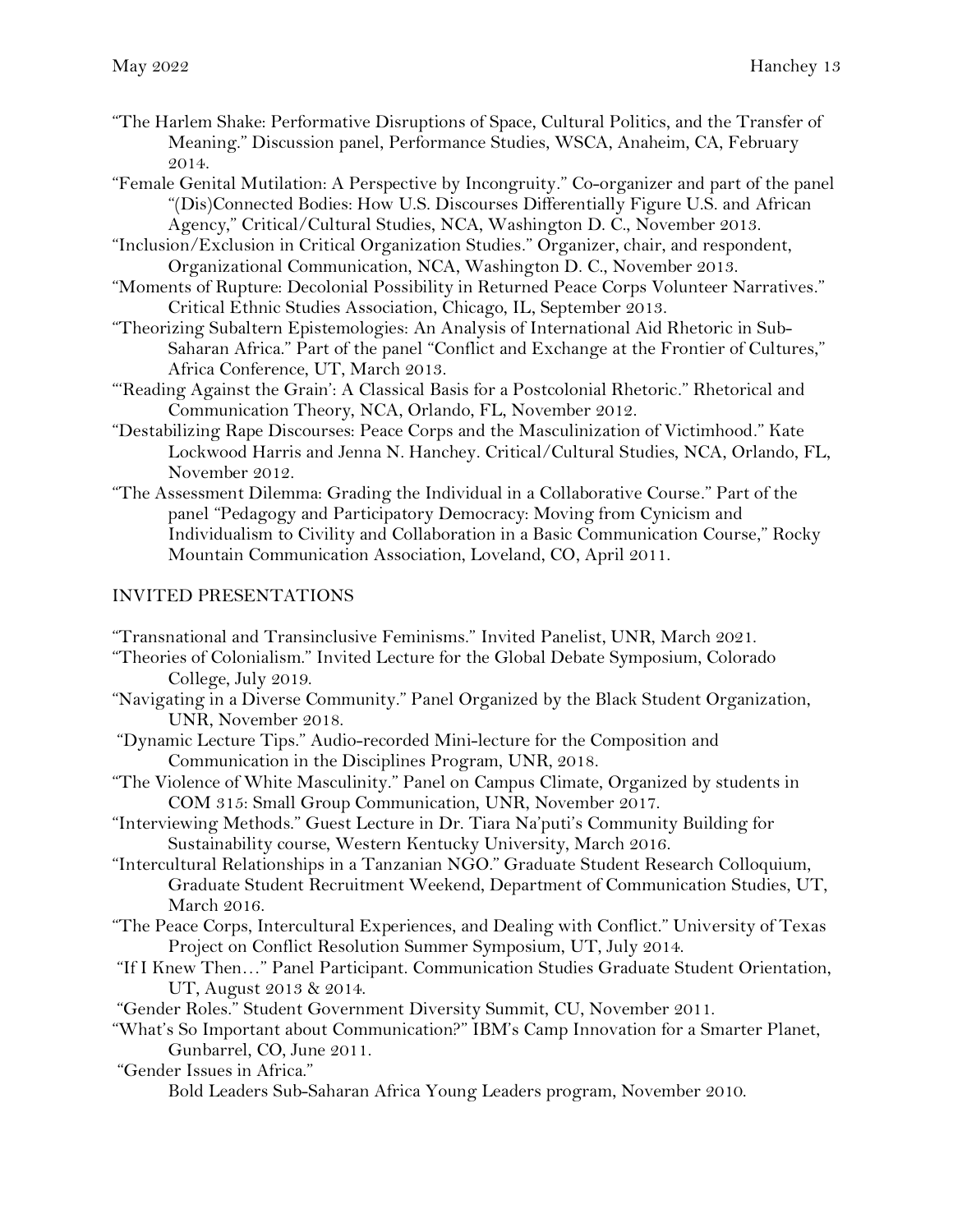- "The Harlem Shake: Performative Disruptions of Space, Cultural Politics, and the Transfer of Meaning." Discussion panel, Performance Studies, WSCA, Anaheim, CA, February 2014.
- "Female Genital Mutilation: A Perspective by Incongruity." Co-organizer and part of the panel "(Dis)Connected Bodies: How U.S. Discourses Differentially Figure U.S. and African Agency," Critical/Cultural Studies, NCA, Washington D. C., November 2013.
- "Inclusion/Exclusion in Critical Organization Studies." Organizer, chair, and respondent, Organizational Communication, NCA, Washington D. C., November 2013.
- "Moments of Rupture: Decolonial Possibility in Returned Peace Corps Volunteer Narratives." Critical Ethnic Studies Association, Chicago, IL, September 2013.
- "Theorizing Subaltern Epistemologies: An Analysis of International Aid Rhetoric in Sub-Saharan Africa." Part of the panel "Conflict and Exchange at the Frontier of Cultures," Africa Conference, UT, March 2013.
- "'Reading Against the Grain': A Classical Basis for a Postcolonial Rhetoric." Rhetorical and Communication Theory, NCA, Orlando, FL, November 2012.
- "Destabilizing Rape Discourses: Peace Corps and the Masculinization of Victimhood." Kate Lockwood Harris and Jenna N. Hanchey. Critical/Cultural Studies, NCA, Orlando, FL, November 2012.
- "The Assessment Dilemma: Grading the Individual in a Collaborative Course." Part of the panel "Pedagogy and Participatory Democracy: Moving from Cynicism and Individualism to Civility and Collaboration in a Basic Communication Course," Rocky Mountain Communication Association, Loveland, CO, April 2011.

# INVITED PRESENTATIONS

- "Transnational and Transinclusive Feminisms." Invited Panelist, UNR, March 2021.
- "Theories of Colonialism." Invited Lecture for the Global Debate Symposium, Colorado College, July 2019.
- "Navigating in a Diverse Community." Panel Organized by the Black Student Organization, UNR, November 2018.
- "Dynamic Lecture Tips." Audio-recorded Mini-lecture for the Composition and Communication in the Disciplines Program, UNR, 2018.
- "The Violence of White Masculinity." Panel on Campus Climate, Organized by students in COM 315: Small Group Communication, UNR, November 2017.
- "Interviewing Methods." Guest Lecture in Dr. Tiara Na'puti's Community Building for Sustainability course, Western Kentucky University, March 2016.
- "Intercultural Relationships in a Tanzanian NGO." Graduate Student Research Colloquium, Graduate Student Recruitment Weekend, Department of Communication Studies, UT, March 2016.
- "The Peace Corps, Intercultural Experiences, and Dealing with Conflict." University of Texas Project on Conflict Resolution Summer Symposium, UT, July 2014.
- "If I Knew Then…" Panel Participant. Communication Studies Graduate Student Orientation, UT, August 2013 & 2014.
- "Gender Roles." Student Government Diversity Summit, CU, November 2011.

"What's So Important about Communication?" IBM's Camp Innovation for a Smarter Planet, Gunbarrel, CO, June 2011.

- "Gender Issues in Africa."
	- Bold Leaders Sub-Saharan Africa Young Leaders program, November 2010.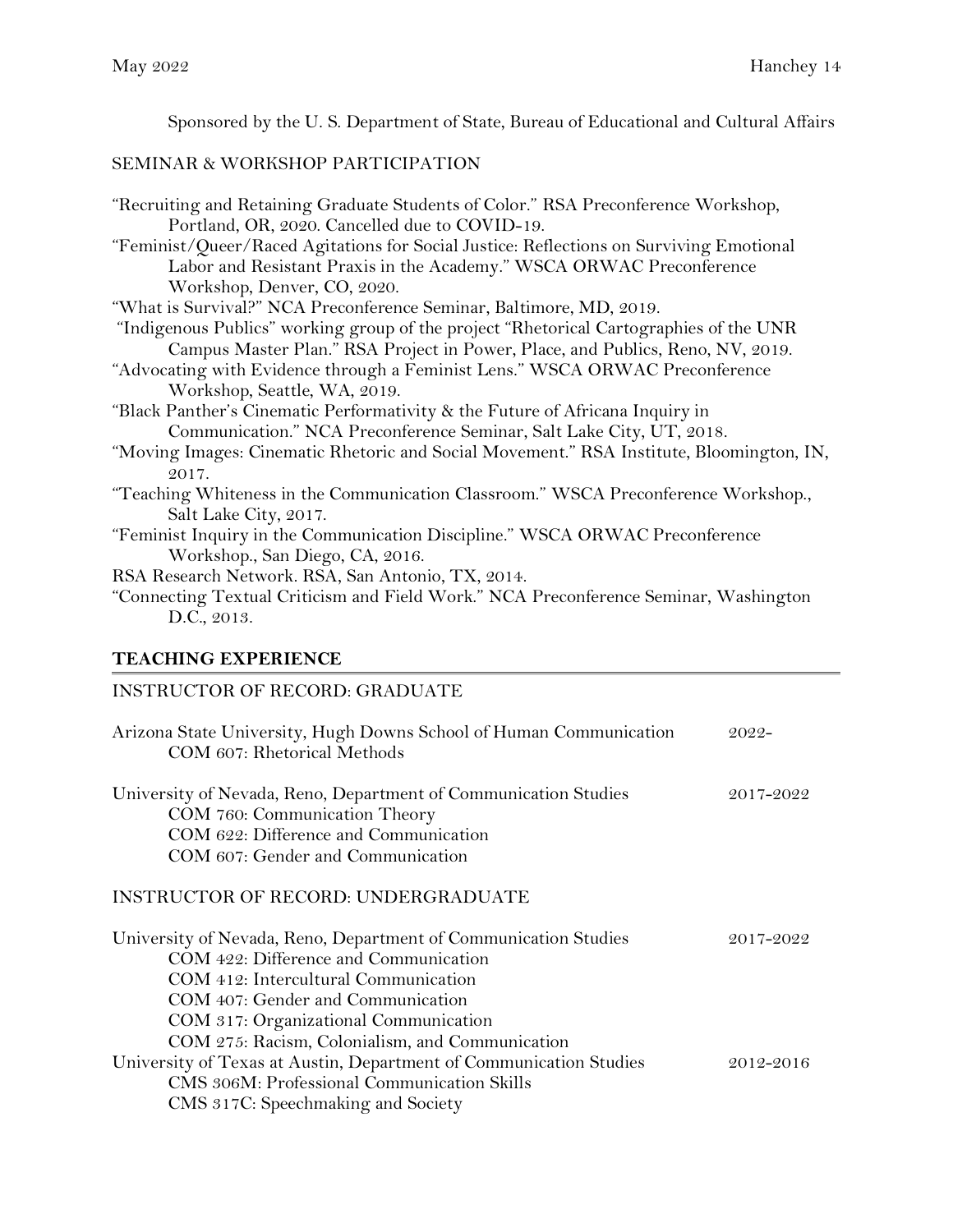Sponsored by the U. S. Department of State, Bureau of Educational and Cultural Affairs

# SEMINAR & WORKSHOP PARTICIPATION

| "Recruiting and Retaining Graduate Students of Color." RSA Preconference Workshop,                |
|---------------------------------------------------------------------------------------------------|
| Portland, OR, 2020. Cancelled due to COVID-19.                                                    |
| "Feminist/Queer/Raced Agitations for Social Justice: Reflections on Surviving Emotional           |
| Labor and Resistant Praxis in the Academy." WSCA ORWAC Preconference                              |
| Workshop, Denver, CO, 2020.                                                                       |
| "What is Survival?" NCA Preconference Seminar, Baltimore, MD, 2019.                               |
| "Indigenous Publics" working group of the project "Rhetorical Cartographies of the UNR            |
| Campus Master Plan." RSA Project in Power, Place, and Publics, Reno, NV, 2019.                    |
| "Advocating with Evidence through a Feminist Lens." WSCA ORWAC Preconference                      |
| Workshop, Seattle, WA, 2019.                                                                      |
| "Black Panther's Cinematic Performativity & the Future of Africana Inquiry in                     |
| Communication." NCA Preconference Seminar, Salt Lake City, UT, 2018.                              |
| "Moving Images: Cinematic Rhetoric and Social Movement." RSA Institute, Bloomington, IN,<br>2017. |
| "Teaching Whiteness in the Communication Classroom." WSCA Preconference Workshop.,                |
| Salt Lake City, 2017.                                                                             |
| "Feminist Inquiry in the Communication Discipline." WSCA ORWAC Preconference                      |
| Workshop., San Diego, CA, 2016.                                                                   |
| RSA Research Network. RSA, San Antonio, TX, 2014.                                                 |
| "Connecting Textual Criticism and Field Work." NCA Preconference Seminar, Washington              |
| D.C., 2013.                                                                                       |
|                                                                                                   |

# **TEACHING EXPERIENCE**

# INSTRUCTOR OF RECORD: GRADUATE

| Arizona State University, Hugh Downs School of Human Communication<br>COM 607: Rhetorical Methods                                                                                                                              | 2022-     |
|--------------------------------------------------------------------------------------------------------------------------------------------------------------------------------------------------------------------------------|-----------|
| University of Nevada, Reno, Department of Communication Studies<br>COM 760: Communication Theory<br>COM 622: Difference and Communication<br>COM 607: Gender and Communication                                                 | 2017-2022 |
| <b>INSTRUCTOR OF RECORD: UNDERGRADUATE</b>                                                                                                                                                                                     |           |
| University of Nevada, Reno, Department of Communication Studies<br>COM 422: Difference and Communication<br>COM 412: Intercultural Communication<br>COM 407: Gender and Communication<br>COM 317: Organizational Communication | 2017-2022 |
| COM 275: Racism, Colonialism, and Communication<br>University of Texas at Austin, Department of Communication Studies<br>CMS 306M: Professional Communication Skills<br>CMS 317C: Speechmaking and Society                     | 2012-2016 |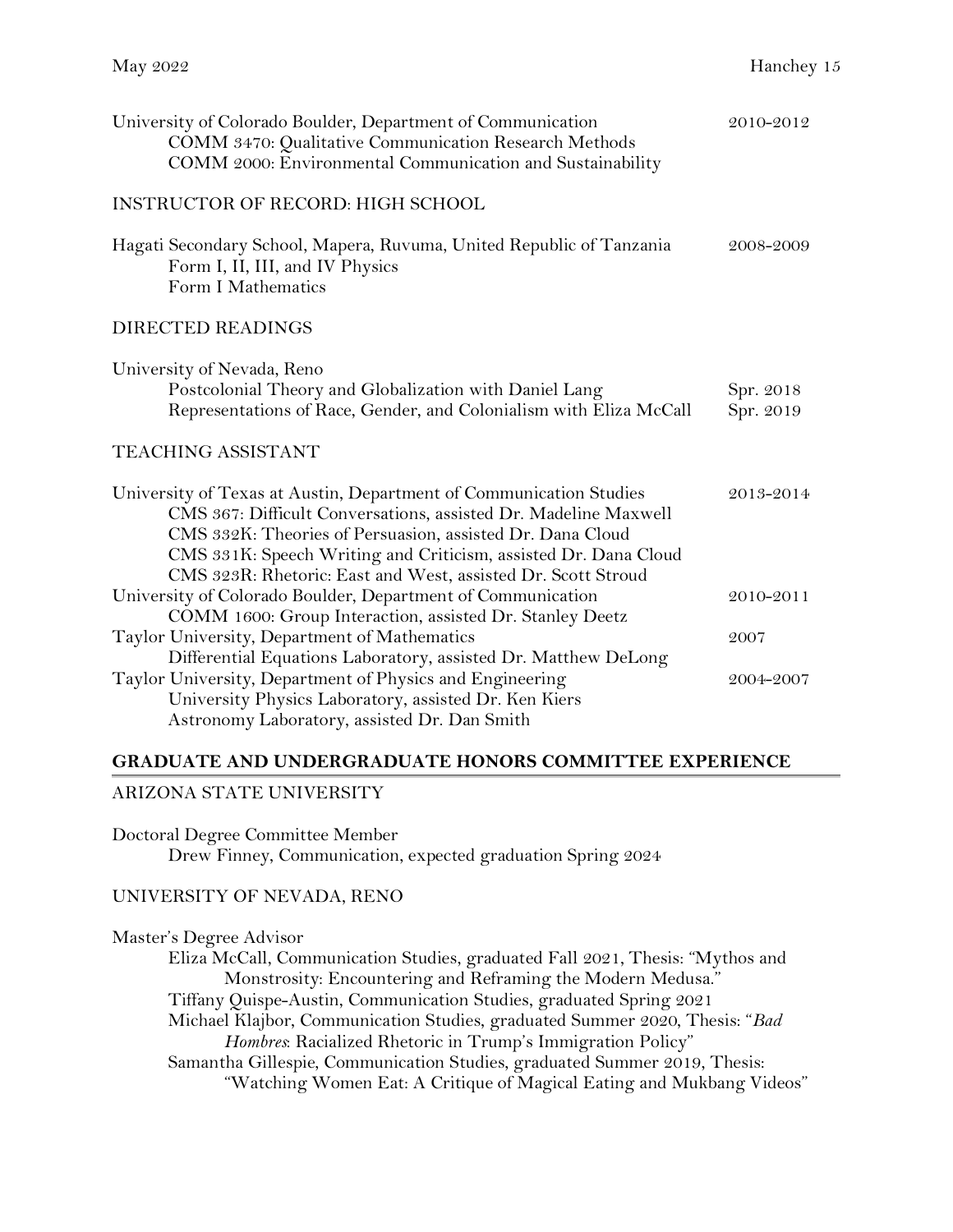| University of Colorado Boulder, Department of Communication<br>COMM 3470: Qualitative Communication Research Methods<br>COMM 2000: Environmental Communication and Sustainability                                                                                                                                                     | 2010-2012              |
|---------------------------------------------------------------------------------------------------------------------------------------------------------------------------------------------------------------------------------------------------------------------------------------------------------------------------------------|------------------------|
| <b>INSTRUCTOR OF RECORD: HIGH SCHOOL</b>                                                                                                                                                                                                                                                                                              |                        |
| Hagati Secondary School, Mapera, Ruvuma, United Republic of Tanzania<br>Form I, II, III, and IV Physics<br>Form I Mathematics                                                                                                                                                                                                         | 2008-2009              |
| <b>DIRECTED READINGS</b>                                                                                                                                                                                                                                                                                                              |                        |
| University of Nevada, Reno<br>Postcolonial Theory and Globalization with Daniel Lang<br>Representations of Race, Gender, and Colonialism with Eliza McCall                                                                                                                                                                            | Spr. 2018<br>Spr. 2019 |
| <b>TEACHING ASSISTANT</b>                                                                                                                                                                                                                                                                                                             |                        |
| University of Texas at Austin, Department of Communication Studies<br>CMS 367: Difficult Conversations, assisted Dr. Madeline Maxwell<br>CMS 332K: Theories of Persuasion, assisted Dr. Dana Cloud<br>CMS 331K: Speech Writing and Criticism, assisted Dr. Dana Cloud<br>CMS 323R: Rhetoric: East and West, assisted Dr. Scott Stroud | 2013-2014              |
| University of Colorado Boulder, Department of Communication<br>COMM 1600: Group Interaction, assisted Dr. Stanley Deetz                                                                                                                                                                                                               | 2010-2011              |
| Taylor University, Department of Mathematics                                                                                                                                                                                                                                                                                          | 2007                   |
| Differential Equations Laboratory, assisted Dr. Matthew DeLong<br>Taylor University, Department of Physics and Engineering<br>University Physics Laboratory, assisted Dr. Ken Kiers<br>Astronomy Laboratory, assisted Dr. Dan Smith                                                                                                   | 2004-2007              |

## **GRADUATE AND UNDERGRADUATE HONORS COMMITTEE EXPERIENCE**

#### ARIZONA STATE UNIVERSITY

Doctoral Degree Committee Member

Drew Finney, Communication, expected graduation Spring 2024

#### UNIVERSITY OF NEVADA, RENO

Master's Degree Advisor Eliza McCall, Communication Studies, graduated Fall 2021, Thesis: "Mythos and Monstrosity: Encountering and Reframing the Modern Medusa." Tiffany Quispe-Austin, Communication Studies, graduated Spring 2021 Michael Klajbor, Communication Studies, graduated Summer 2020, Thesis: "*Bad Hombres*: Racialized Rhetoric in Trump's Immigration Policy" Samantha Gillespie, Communication Studies, graduated Summer 2019, Thesis: "Watching Women Eat: A Critique of Magical Eating and Mukbang Videos"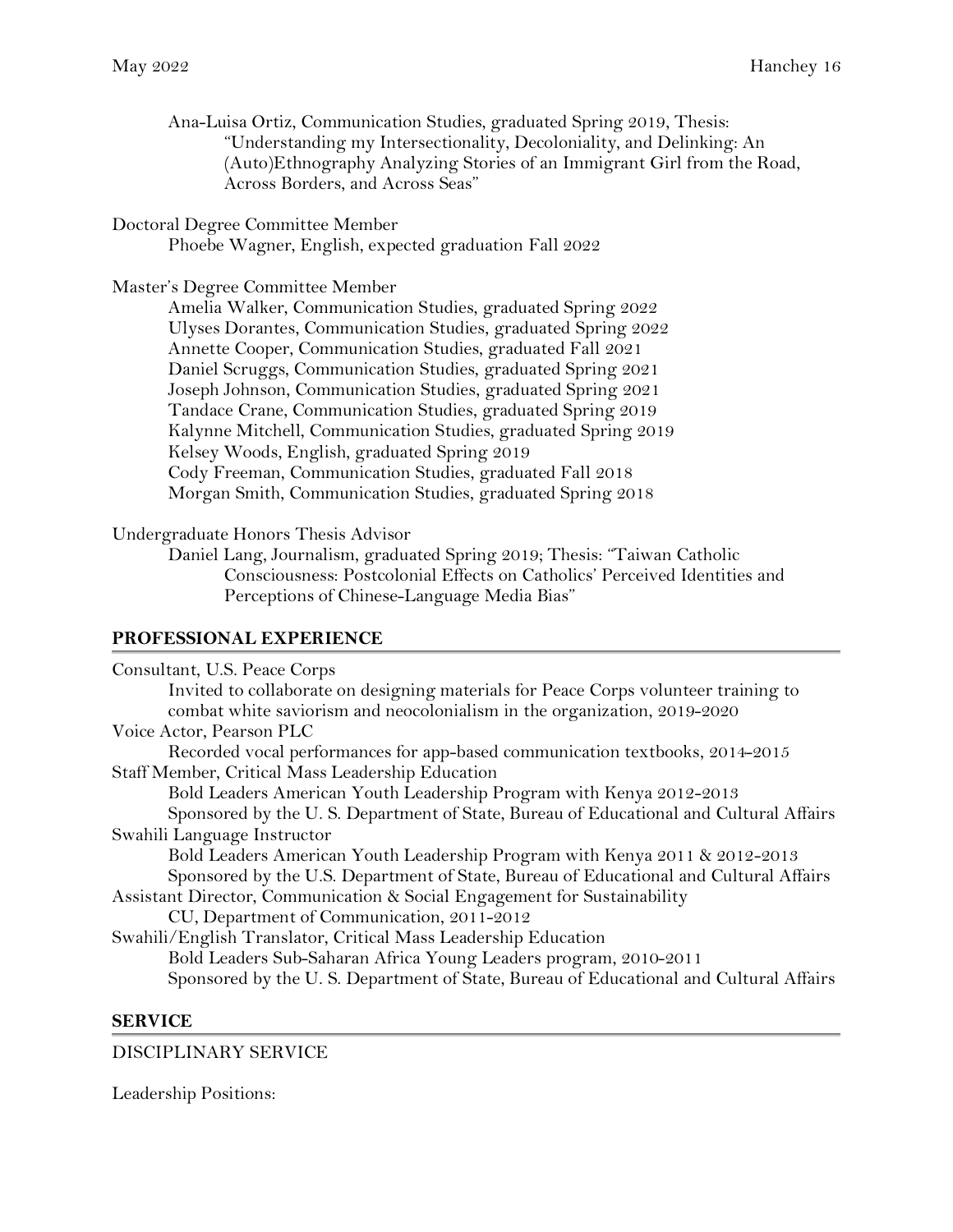Ana-Luisa Ortiz, Communication Studies, graduated Spring 2019, Thesis: "Understanding my Intersectionality, Decoloniality, and Delinking: An (Auto)Ethnography Analyzing Stories of an Immigrant Girl from the Road, Across Borders, and Across Seas"

### Doctoral Degree Committee Member

Phoebe Wagner, English, expected graduation Fall 2022

#### Master's Degree Committee Member

Amelia Walker, Communication Studies, graduated Spring 2022 Ulyses Dorantes, Communication Studies, graduated Spring 2022 Annette Cooper, Communication Studies, graduated Fall 2021 Daniel Scruggs, Communication Studies, graduated Spring 2021 Joseph Johnson, Communication Studies, graduated Spring 2021 Tandace Crane, Communication Studies, graduated Spring 2019 Kalynne Mitchell, Communication Studies, graduated Spring 2019 Kelsey Woods, English, graduated Spring 2019 Cody Freeman, Communication Studies, graduated Fall 2018 Morgan Smith, Communication Studies, graduated Spring 2018

#### Undergraduate Honors Thesis Advisor

Daniel Lang, Journalism, graduated Spring 2019; Thesis: "Taiwan Catholic Consciousness: Postcolonial Effects on Catholics' Perceived Identities and Perceptions of Chinese-Language Media Bias"

#### **PROFESSIONAL EXPERIENCE**

| Consultant, U.S. Peace Corps                                                          |
|---------------------------------------------------------------------------------------|
| Invited to collaborate on designing materials for Peace Corps volunteer training to   |
| combat white saviorism and neocolonialism in the organization, 2019-2020              |
| Voice Actor, Pearson PLC                                                              |
| Recorded vocal performances for app-based communication textbooks, 2014–2015          |
| Staff Member, Critical Mass Leadership Education                                      |
| Bold Leaders American Youth Leadership Program with Kenya 2012-2013                   |
| Sponsored by the U.S. Department of State, Bureau of Educational and Cultural Affairs |
| Swahili Language Instructor                                                           |
| Bold Leaders American Youth Leadership Program with Kenya 2011 & 2012-2013            |
| Sponsored by the U.S. Department of State, Bureau of Educational and Cultural Affairs |
| Assistant Director, Communication & Social Engagement for Sustainability              |
| CU, Department of Communication, 2011-2012                                            |
| Swahili/English Translator, Critical Mass Leadership Education                        |
| Bold Leaders Sub-Saharan Africa Young Leaders program, 2010-2011                      |
| Sponsored by the U.S. Department of State, Bureau of Educational and Cultural Affairs |

#### **SERVICE**

#### DISCIPLINARY SERVICE

Leadership Positions: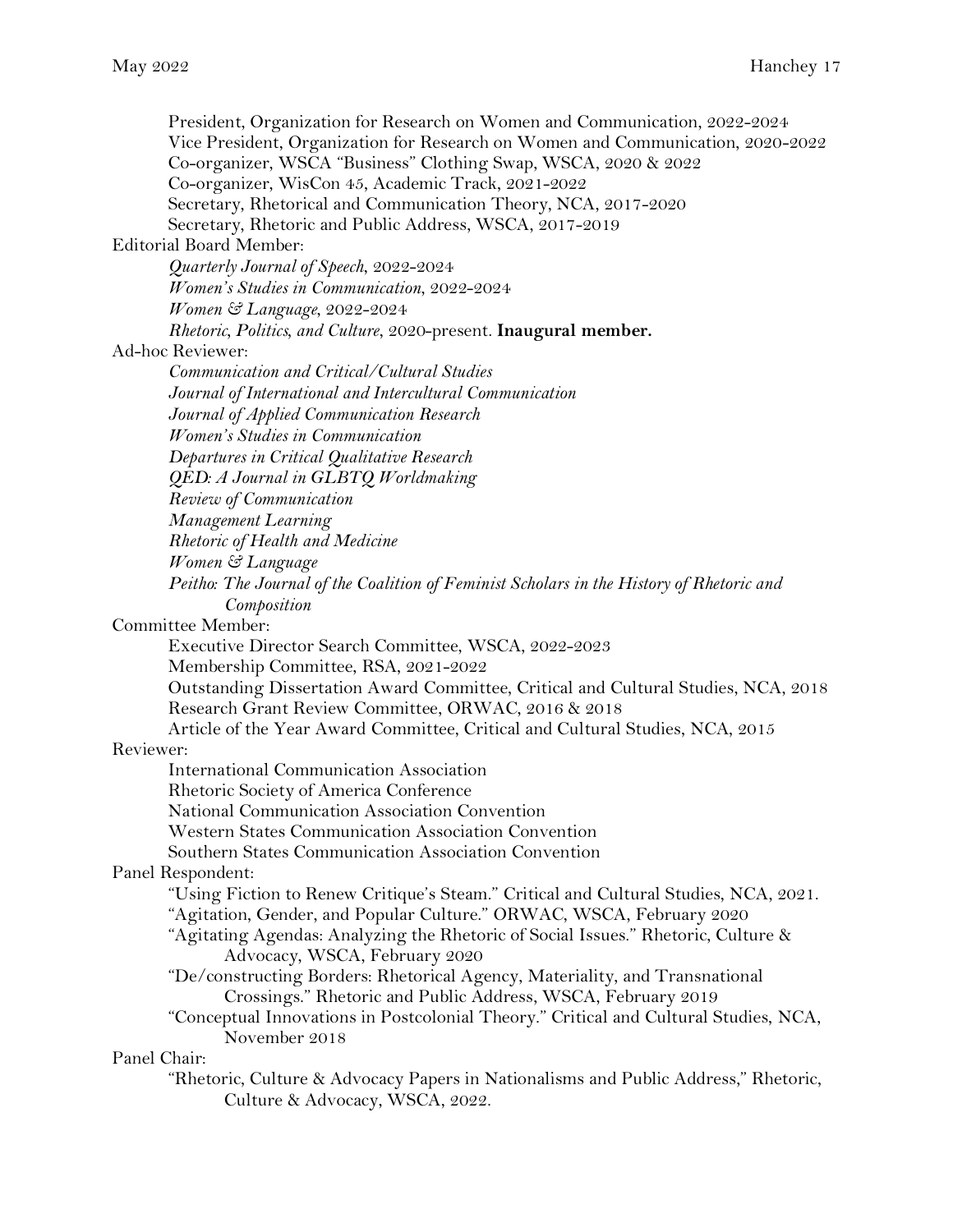President, Organization for Research on Women and Communication, 2022-2024 Vice President, Organization for Research on Women and Communication, 2020-2022 Co-organizer, WSCA "Business" Clothing Swap, WSCA, 2020 & 2022 Co-organizer, WisCon 45, Academic Track, 2021-2022 Secretary, Rhetorical and Communication Theory, NCA, 2017-2020 Secretary, Rhetoric and Public Address, WSCA, 2017-2019 Editorial Board Member: *Quarterly Journal of Speech*, 2022-2024 *Women's Studies in Communication*, 2022-2024 *Women & Language*, 2022-2024 *Rhetoric, Politics, and Culture*, 2020-present. **Inaugural member.** Ad-hoc Reviewer: *Communication and Critical/Cultural Studies Journal of International and Intercultural Communication Journal of Applied Communication Research Women's Studies in Communication Departures in Critical Qualitative Research QED: A Journal in GLBTQ Worldmaking Review of Communication Management Learning Rhetoric of Health and Medicine Women & Language Peitho: The Journal of the Coalition of Feminist Scholars in the History of Rhetoric and Composition* Committee Member: Executive Director Search Committee, WSCA, 2022-2023 Membership Committee, RSA, 2021-2022 Outstanding Dissertation Award Committee, Critical and Cultural Studies, NCA, 2018 Research Grant Review Committee, ORWAC, 2016 & 2018 Article of the Year Award Committee, Critical and Cultural Studies, NCA, 2015 Reviewer: International Communication Association Rhetoric Society of America Conference National Communication Association Convention Western States Communication Association Convention Southern States Communication Association Convention Panel Respondent: "Using Fiction to Renew Critique's Steam." Critical and Cultural Studies, NCA, 2021. "Agitation, Gender, and Popular Culture." ORWAC, WSCA, February 2020 "Agitating Agendas: Analyzing the Rhetoric of Social Issues." Rhetoric, Culture & Advocacy, WSCA, February 2020 "De/constructing Borders: Rhetorical Agency, Materiality, and Transnational Crossings." Rhetoric and Public Address, WSCA, February 2019 "Conceptual Innovations in Postcolonial Theory." Critical and Cultural Studies, NCA, November 2018 Panel Chair: "Rhetoric, Culture & Advocacy Papers in Nationalisms and Public Address," Rhetoric, Culture & Advocacy, WSCA, 2022.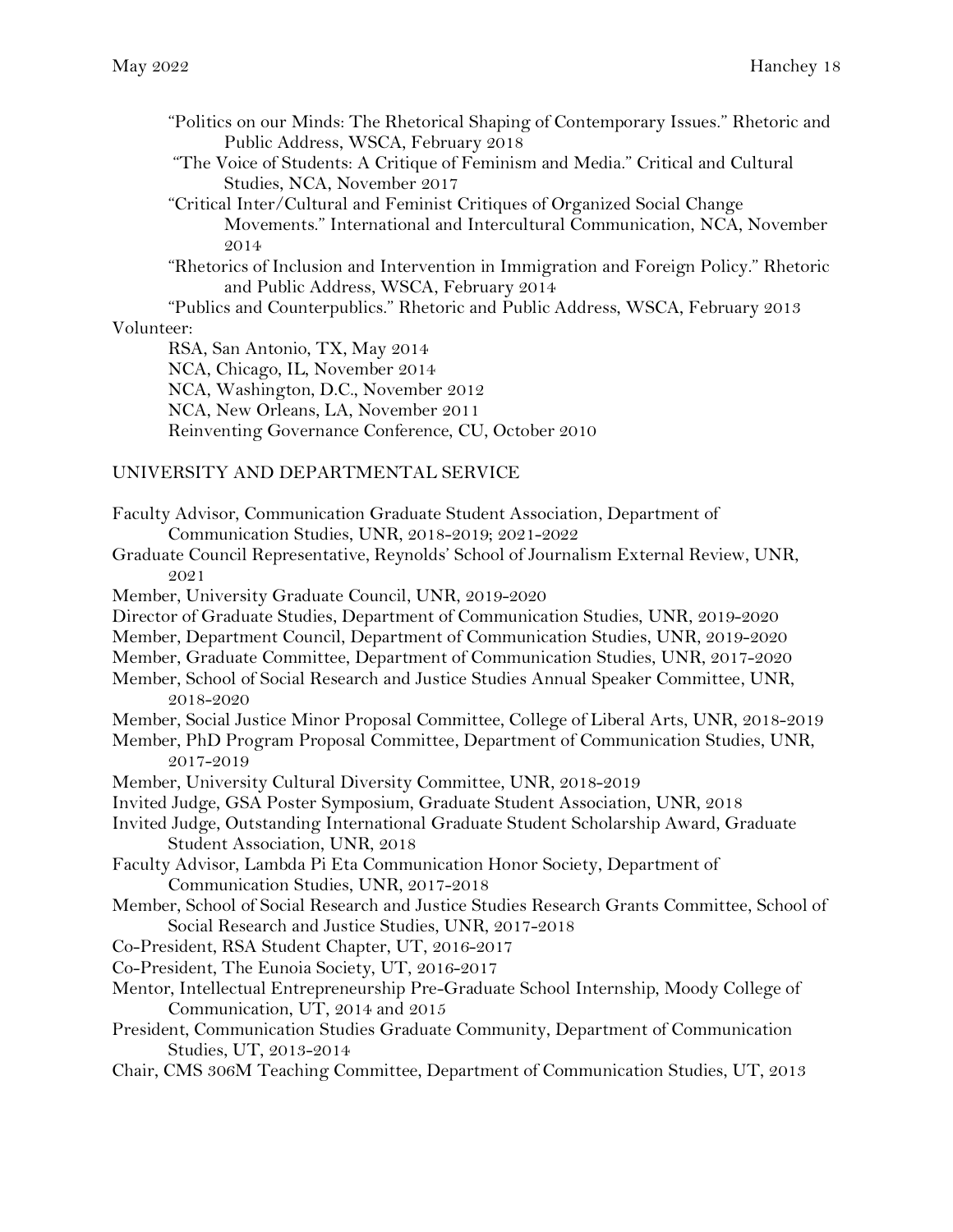- "Politics on our Minds: The Rhetorical Shaping of Contemporary Issues." Rhetoric and Public Address, WSCA, February 2018
- "The Voice of Students: A Critique of Feminism and Media." Critical and Cultural Studies, NCA, November 2017

"Critical Inter/Cultural and Feminist Critiques of Organized Social Change Movements." International and Intercultural Communication, NCA, November 2014

"Rhetorics of Inclusion and Intervention in Immigration and Foreign Policy." Rhetoric and Public Address, WSCA, February 2014

"Publics and Counterpublics." Rhetoric and Public Address, WSCA, February 2013 Volunteer:

RSA, San Antonio, TX, May 2014 NCA, Chicago, IL, November 2014 NCA, Washington, D.C., November 2012 NCA, New Orleans, LA, November 2011 Reinventing Governance Conference, CU, October 2010

#### UNIVERSITY AND DEPARTMENTAL SERVICE

- Faculty Advisor, Communication Graduate Student Association, Department of Communication Studies, UNR, 2018-2019; 2021-2022
- Graduate Council Representative, Reynolds' School of Journalism External Review, UNR, 2021
- Member, University Graduate Council, UNR, 2019-2020
- Director of Graduate Studies, Department of Communication Studies, UNR, 2019-2020
- Member, Department Council, Department of Communication Studies, UNR, 2019-2020
- Member, Graduate Committee, Department of Communication Studies, UNR, 2017-2020
- Member, School of Social Research and Justice Studies Annual Speaker Committee, UNR, 2018-2020
- Member, Social Justice Minor Proposal Committee, College of Liberal Arts, UNR, 2018-2019
- Member, PhD Program Proposal Committee, Department of Communication Studies, UNR, 2017-2019
- Member, University Cultural Diversity Committee, UNR, 2018-2019
- Invited Judge, GSA Poster Symposium, Graduate Student Association, UNR, 2018
- Invited Judge, Outstanding International Graduate Student Scholarship Award, Graduate Student Association, UNR, 2018
- Faculty Advisor, Lambda Pi Eta Communication Honor Society, Department of Communication Studies, UNR, 2017-2018
- Member, School of Social Research and Justice Studies Research Grants Committee, School of Social Research and Justice Studies, UNR, 2017-2018
- Co-President, RSA Student Chapter, UT, 2016-2017
- Co-President, The Eunoia Society, UT, 2016-2017
- Mentor, Intellectual Entrepreneurship Pre-Graduate School Internship, Moody College of Communication, UT, 2014 and 2015
- President, Communication Studies Graduate Community, Department of Communication Studies, UT, 2013-2014
- Chair, CMS 306M Teaching Committee, Department of Communication Studies, UT, 2013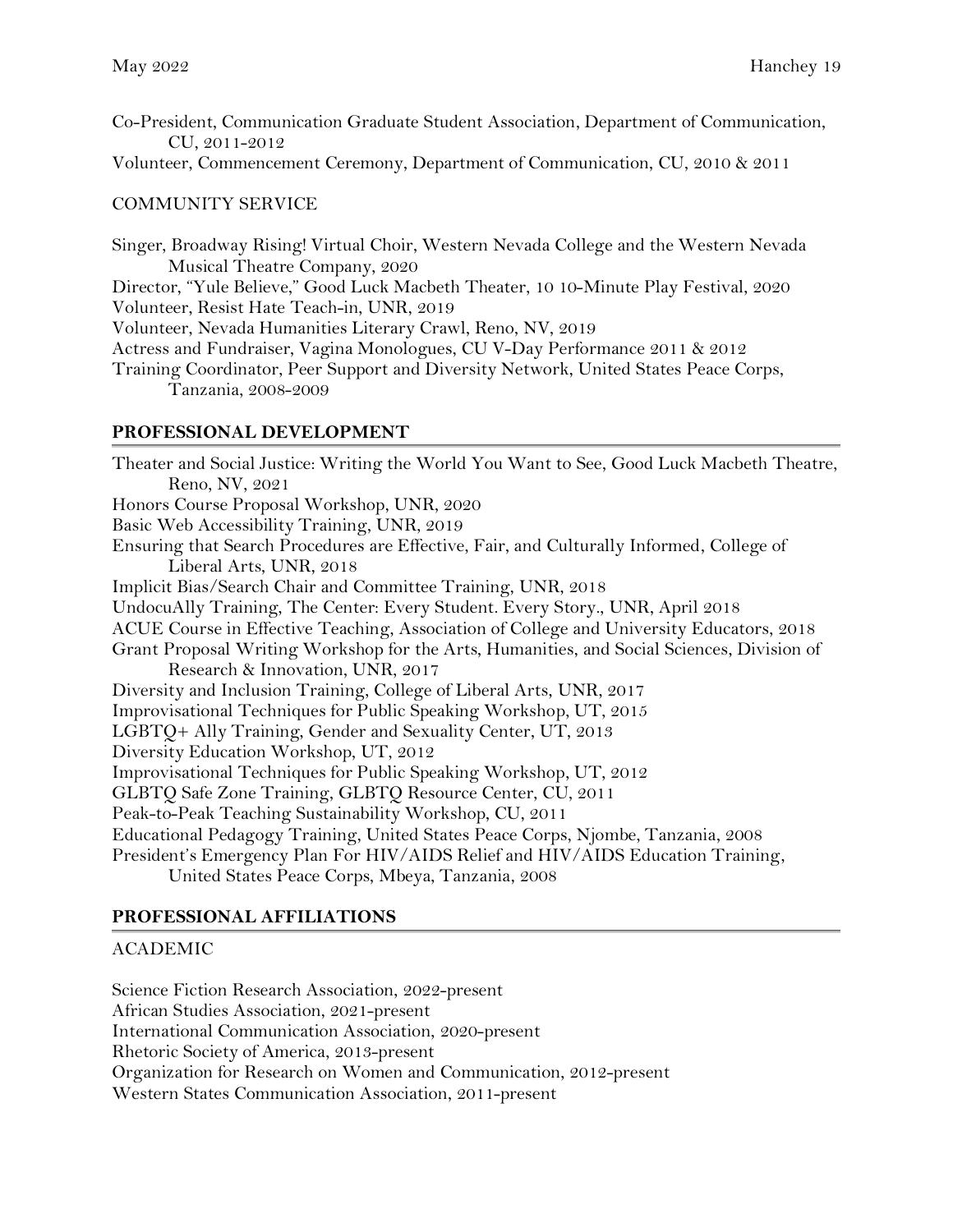Co-President, Communication Graduate Student Association, Department of Communication, CU, 2011-2012

Volunteer, Commencement Ceremony, Department of Communication, CU, 2010 & 2011

## COMMUNITY SERVICE

Singer, Broadway Rising! Virtual Choir, Western Nevada College and the Western Nevada Musical Theatre Company, 2020 Director, "Yule Believe," Good Luck Macbeth Theater, 10 10-Minute Play Festival, 2020 Volunteer, Resist Hate Teach-in, UNR, 2019 Volunteer, Nevada Humanities Literary Crawl, Reno, NV, 2019 Actress and Fundraiser, Vagina Monologues, CU V-Day Performance 2011 & 2012 Training Coordinator, Peer Support and Diversity Network, United States Peace Corps, Tanzania, 2008-2009

## **PROFESSIONAL DEVELOPMENT**

Theater and Social Justice: Writing the World You Want to See, Good Luck Macbeth Theatre, Reno, NV, 2021 Honors Course Proposal Workshop, UNR, 2020 Basic Web Accessibility Training, UNR, 2019 Ensuring that Search Procedures are Effective, Fair, and Culturally Informed, College of Liberal Arts, UNR, 2018 Implicit Bias/Search Chair and Committee Training, UNR, 2018 UndocuAlly Training, The Center: Every Student. Every Story., UNR, April 2018 ACUE Course in Effective Teaching, Association of College and University Educators, 2018 Grant Proposal Writing Workshop for the Arts, Humanities, and Social Sciences, Division of Research & Innovation, UNR, 2017 Diversity and Inclusion Training, College of Liberal Arts, UNR, 2017 Improvisational Techniques for Public Speaking Workshop, UT, 2015 LGBTQ+ Ally Training, Gender and Sexuality Center, UT, 2013 Diversity Education Workshop, UT, 2012 Improvisational Techniques for Public Speaking Workshop, UT, 2012 GLBTQ Safe Zone Training, GLBTQ Resource Center, CU, 2011 Peak-to-Peak Teaching Sustainability Workshop, CU, 2011 Educational Pedagogy Training, United States Peace Corps, Njombe, Tanzania, 2008 President's Emergency Plan For HIV/AIDS Relief and HIV/AIDS Education Training, United States Peace Corps, Mbeya, Tanzania, 2008

## **PROFESSIONAL AFFILIATIONS**

#### ACADEMIC

Science Fiction Research Association, 2022-present African Studies Association, 2021-present International Communication Association, 2020-present Rhetoric Society of America, 2013-present Organization for Research on Women and Communication, 2012-present Western States Communication Association, 2011-present